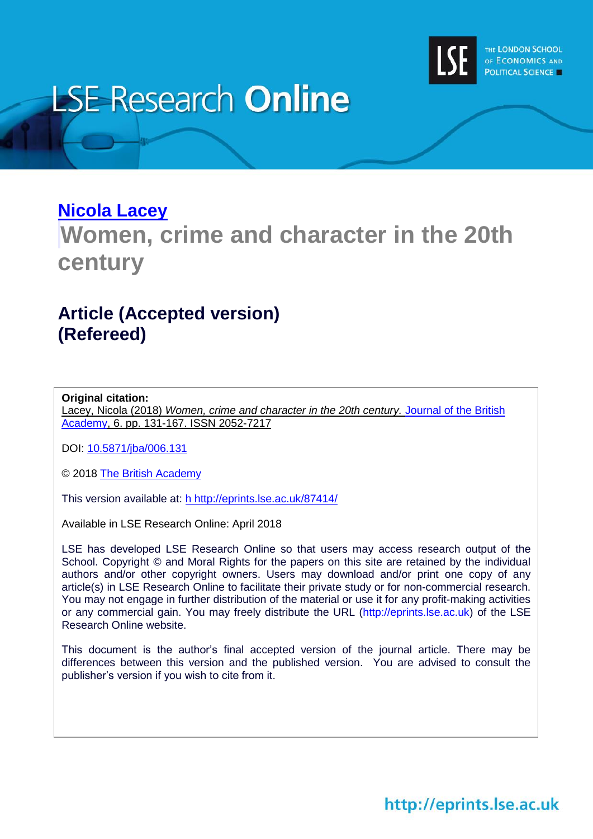

# **LSE Research Online**

### **[Nicola Lacey](http://www.lse.ac.uk/researchAndExpertise/Experts/profile.aspx?KeyValue=n.m.lacey@lse.ac.uk)**

## **Women, crime and character in the 20th century**

### **Article (Accepted version) (Refereed)**

#### **Original citation:**

Lacey, Nicola (2018) *Women, crime and character in the 20th century.* [Journal of the British](https://www.britac.ac.uk/journal-british-academy)  [Academy,](https://www.britac.ac.uk/journal-british-academy) 6. pp. 131-167. ISSN 2052-7217

DOI: [10.5871/jba/006.131](http://doi.org/10.5871/jba/006.131)

© 2018 [The British Academy](https://www.britac.ac.uk/)

This version available at: h [http://eprints.lse.ac.uk/87414/](h%20http:/eprints.lse.ac.uk/87414/)

Available in LSE Research Online: April 2018

LSE has developed LSE Research Online so that users may access research output of the School. Copyright © and Moral Rights for the papers on this site are retained by the individual authors and/or other copyright owners. Users may download and/or print one copy of any article(s) in LSE Research Online to facilitate their private study or for non-commercial research. You may not engage in further distribution of the material or use it for any profit-making activities or any commercial gain. You may freely distribute the URL (http://eprints.lse.ac.uk) of the LSE Research Online website.

This document is the author's final accepted version of the journal article. There may be differences between this version and the published version. You are advised to consult the publisher's version if you wish to cite from it.

### http://eprints.lse.ac.uk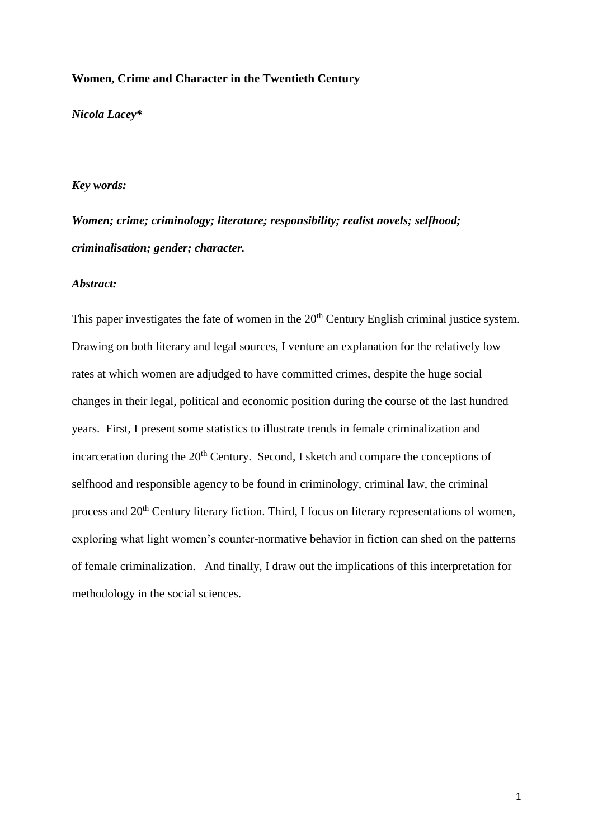#### **Women, Crime and Character in the Twentieth Century**

*Nicola Lacey\**

#### *Key words:*

*Women; crime; criminology; literature; responsibility; realist novels; selfhood; criminalisation; gender; character.*

#### *Abstract:*

This paper investigates the fate of women in the 20<sup>th</sup> Century English criminal justice system. Drawing on both literary and legal sources, I venture an explanation for the relatively low rates at which women are adjudged to have committed crimes, despite the huge social changes in their legal, political and economic position during the course of the last hundred years. First, I present some statistics to illustrate trends in female criminalization and incarceration during the  $20<sup>th</sup>$  Century. Second, I sketch and compare the conceptions of selfhood and responsible agency to be found in criminology, criminal law, the criminal process and 20<sup>th</sup> Century literary fiction. Third, I focus on literary representations of women, exploring what light women's counter-normative behavior in fiction can shed on the patterns of female criminalization. And finally, I draw out the implications of this interpretation for methodology in the social sciences.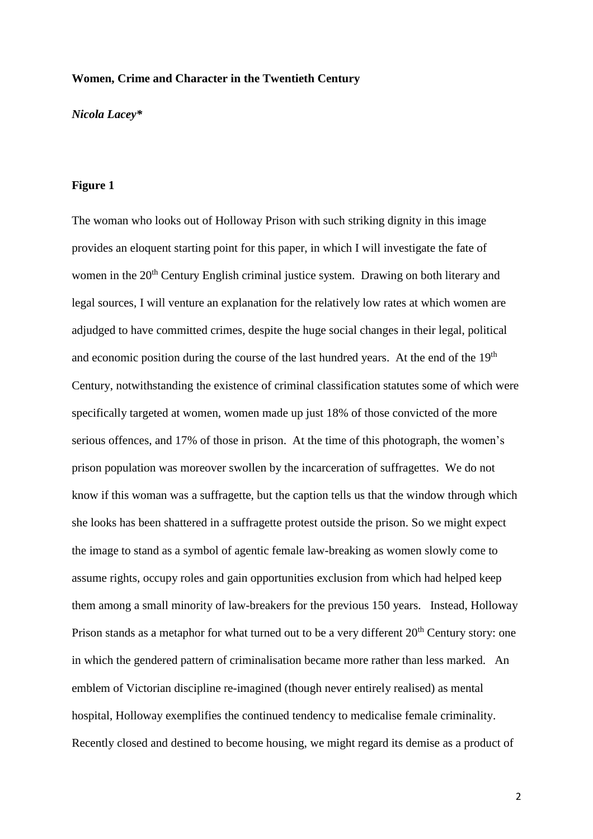#### **Women, Crime and Character in the Twentieth Century**

*Nicola Lacey\**

#### **Figure 1**

The woman who looks out of Holloway Prison with such striking dignity in this image provides an eloquent starting point for this paper, in which I will investigate the fate of women in the 20<sup>th</sup> Century English criminal justice system. Drawing on both literary and legal sources, I will venture an explanation for the relatively low rates at which women are adjudged to have committed crimes, despite the huge social changes in their legal, political and economic position during the course of the last hundred years. At the end of the 19<sup>th</sup> Century, notwithstanding the existence of criminal classification statutes some of which were specifically targeted at women, women made up just 18% of those convicted of the more serious offences, and 17% of those in prison. At the time of this photograph, the women's prison population was moreover swollen by the incarceration of suffragettes. We do not know if this woman was a suffragette, but the caption tells us that the window through which she looks has been shattered in a suffragette protest outside the prison. So we might expect the image to stand as a symbol of agentic female law-breaking as women slowly come to assume rights, occupy roles and gain opportunities exclusion from which had helped keep them among a small minority of law-breakers for the previous 150 years. Instead, Holloway Prison stands as a metaphor for what turned out to be a very different 20<sup>th</sup> Century story: one in which the gendered pattern of criminalisation became more rather than less marked. An emblem of Victorian discipline re-imagined (though never entirely realised) as mental hospital, Holloway exemplifies the continued tendency to medicalise female criminality. Recently closed and destined to become housing, we might regard its demise as a product of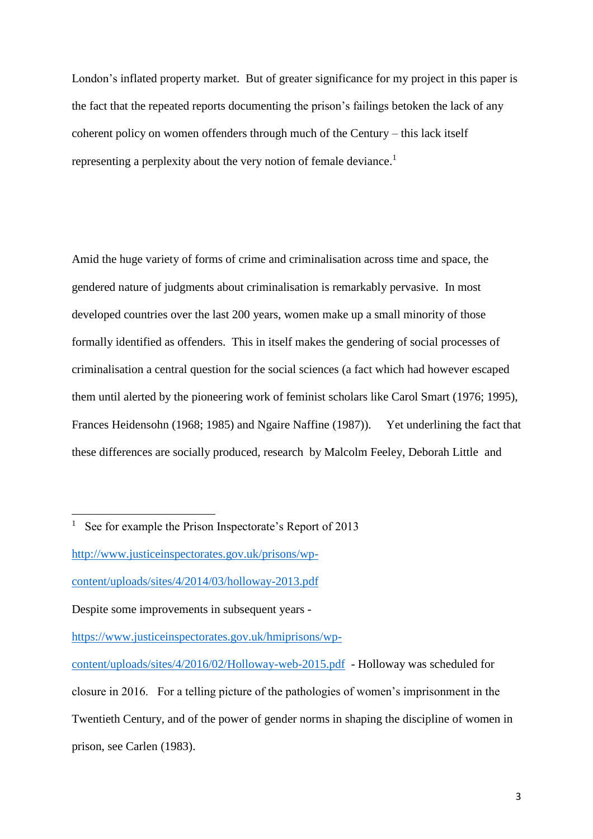London's inflated property market. But of greater significance for my project in this paper is the fact that the repeated reports documenting the prison's failings betoken the lack of any coherent policy on women offenders through much of the Century – this lack itself representing a perplexity about the very notion of female deviance.<sup>1</sup>

Amid the huge variety of forms of crime and criminalisation across time and space, the gendered nature of judgments about criminalisation is remarkably pervasive. In most developed countries over the last 200 years, women make up a small minority of those formally identified as offenders. This in itself makes the gendering of social processes of criminalisation a central question for the social sciences (a fact which had however escaped them until alerted by the pioneering work of feminist scholars like Carol Smart (1976; 1995), Frances Heidensohn (1968; 1985) and Ngaire Naffine (1987)). Yet underlining the fact that these differences are socially produced, research by Malcolm Feeley, Deborah Little and

<sup>&</sup>lt;sup>1</sup> See for example the Prison Inspectorate's Report of 2013

[http://www.justiceinspectorates.gov.uk/prisons/wp-](http://www.justiceinspectorates.gov.uk/prisons/wp-content/uploads/sites/4/2014/03/holloway-2013.pdf)

[content/uploads/sites/4/2014/03/holloway-2013.pdf](http://www.justiceinspectorates.gov.uk/prisons/wp-content/uploads/sites/4/2014/03/holloway-2013.pdf)

Despite some improvements in subsequent years -

[https://www.justiceinspectorates.gov.uk/hmiprisons/wp-](https://www.justiceinspectorates.gov.uk/hmiprisons/wp-content/uploads/sites/4/2016/02/Holloway-web-2015.pdf)

[content/uploads/sites/4/2016/02/Holloway-web-2015.pdf](https://www.justiceinspectorates.gov.uk/hmiprisons/wp-content/uploads/sites/4/2016/02/Holloway-web-2015.pdf) - Holloway was scheduled for closure in 2016. For a telling picture of the pathologies of women's imprisonment in the Twentieth Century, and of the power of gender norms in shaping the discipline of women in prison, see Carlen (1983).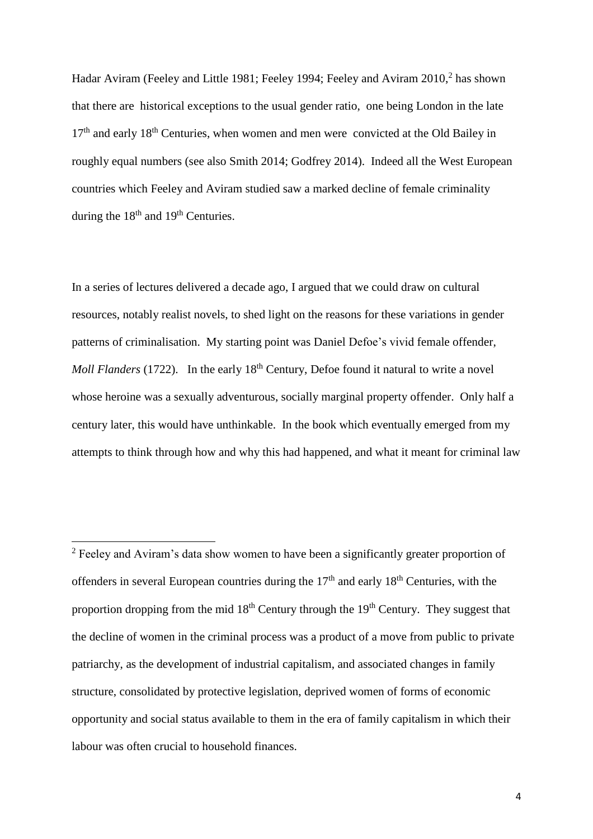Hadar Aviram (Feeley and Little 1981; Feeley 1994; Feeley and Aviram 2010,<sup>2</sup> has shown that there are historical exceptions to the usual gender ratio, one being London in the late  $17<sup>th</sup>$  and early  $18<sup>th</sup>$  Centuries, when women and men were convicted at the Old Bailey in roughly equal numbers (see also Smith 2014; Godfrey 2014). Indeed all the West European countries which Feeley and Aviram studied saw a marked decline of female criminality during the  $18<sup>th</sup>$  and  $19<sup>th</sup>$  Centuries.

In a series of lectures delivered a decade ago, I argued that we could draw on cultural resources, notably realist novels, to shed light on the reasons for these variations in gender patterns of criminalisation. My starting point was Daniel Defoe's vivid female offender, *Moll Flanders* (1722). In the early 18<sup>th</sup> Century, Defoe found it natural to write a novel whose heroine was a sexually adventurous, socially marginal property offender. Only half a century later, this would have unthinkable. In the book which eventually emerged from my attempts to think through how and why this had happened, and what it meant for criminal law

<sup>&</sup>lt;sup>2</sup> Feeley and Aviram's data show women to have been a significantly greater proportion of offenders in several European countries during the  $17<sup>th</sup>$  and early  $18<sup>th</sup>$  Centuries, with the proportion dropping from the mid  $18<sup>th</sup>$  Century through the  $19<sup>th</sup>$  Century. They suggest that the decline of women in the criminal process was a product of a move from public to private patriarchy, as the development of industrial capitalism, and associated changes in family structure, consolidated by protective legislation, deprived women of forms of economic opportunity and social status available to them in the era of family capitalism in which their labour was often crucial to household finances.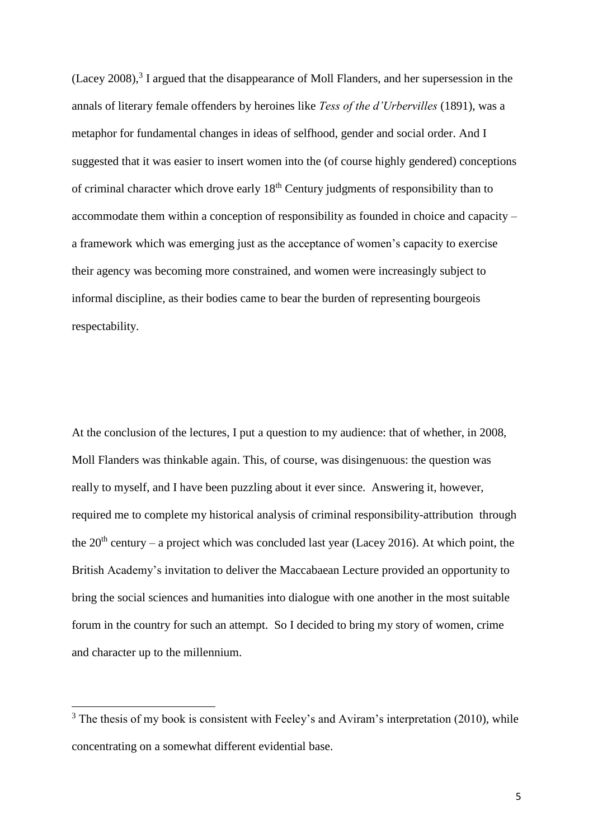(Lacey 2008), $3$  I argued that the disappearance of Moll Flanders, and her supersession in the annals of literary female offenders by heroines like *Tess of the d'Urbervilles* (1891), was a metaphor for fundamental changes in ideas of selfhood, gender and social order. And I suggested that it was easier to insert women into the (of course highly gendered) conceptions of criminal character which drove early 18th Century judgments of responsibility than to accommodate them within a conception of responsibility as founded in choice and capacity – a framework which was emerging just as the acceptance of women's capacity to exercise their agency was becoming more constrained, and women were increasingly subject to informal discipline, as their bodies came to bear the burden of representing bourgeois respectability.

At the conclusion of the lectures, I put a question to my audience: that of whether, in 2008, Moll Flanders was thinkable again. This, of course, was disingenuous: the question was really to myself, and I have been puzzling about it ever since. Answering it, however, required me to complete my historical analysis of criminal responsibility-attribution through the  $20<sup>th</sup>$  century – a project which was concluded last year (Lacey 2016). At which point, the British Academy's invitation to deliver the Maccabaean Lecture provided an opportunity to bring the social sciences and humanities into dialogue with one another in the most suitable forum in the country for such an attempt. So I decided to bring my story of women, crime and character up to the millennium.

 $3$  The thesis of my book is consistent with Feeley's and Aviram's interpretation (2010), while concentrating on a somewhat different evidential base.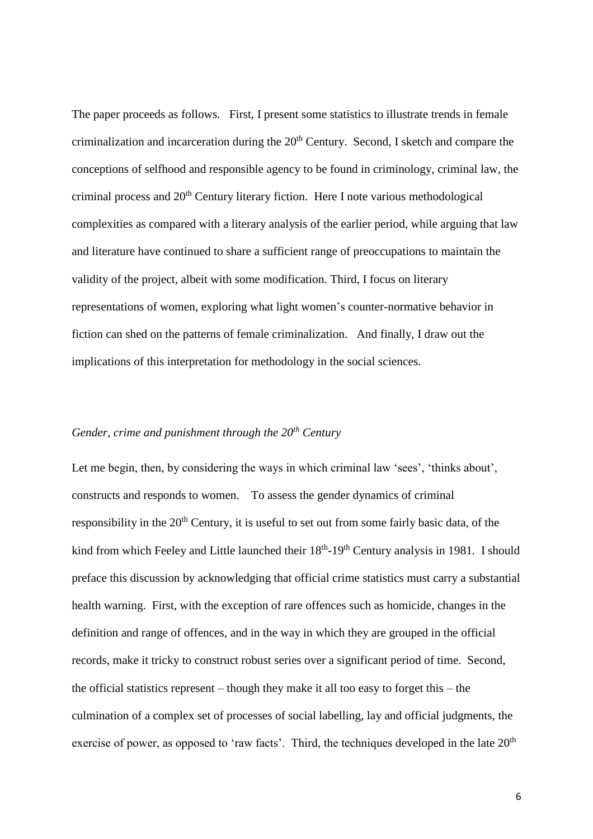The paper proceeds as follows. First, I present some statistics to illustrate trends in female criminalization and incarceration during the  $20<sup>th</sup>$  Century. Second, I sketch and compare the conceptions of selfhood and responsible agency to be found in criminology, criminal law, the criminal process and 20<sup>th</sup> Century literary fiction. Here I note various methodological complexities as compared with a literary analysis of the earlier period, while arguing that law and literature have continued to share a sufficient range of preoccupations to maintain the validity of the project, albeit with some modification. Third, I focus on literary representations of women, exploring what light women's counter-normative behavior in fiction can shed on the patterns of female criminalization. And finally, I draw out the implications of this interpretation for methodology in the social sciences.

#### *Gender, crime and punishment through the 20th Century*

Let me begin, then, by considering the ways in which criminal law 'sees', 'thinks about', constructs and responds to women. To assess the gender dynamics of criminal responsibility in the 20<sup>th</sup> Century, it is useful to set out from some fairly basic data, of the kind from which Feeley and Little launched their 18<sup>th</sup>-19<sup>th</sup> Century analysis in 1981. I should preface this discussion by acknowledging that official crime statistics must carry a substantial health warning. First, with the exception of rare offences such as homicide, changes in the definition and range of offences, and in the way in which they are grouped in the official records, make it tricky to construct robust series over a significant period of time. Second, the official statistics represent – though they make it all too easy to forget this – the culmination of a complex set of processes of social labelling, lay and official judgments, the exercise of power, as opposed to 'raw facts'. Third, the techniques developed in the late  $20<sup>th</sup>$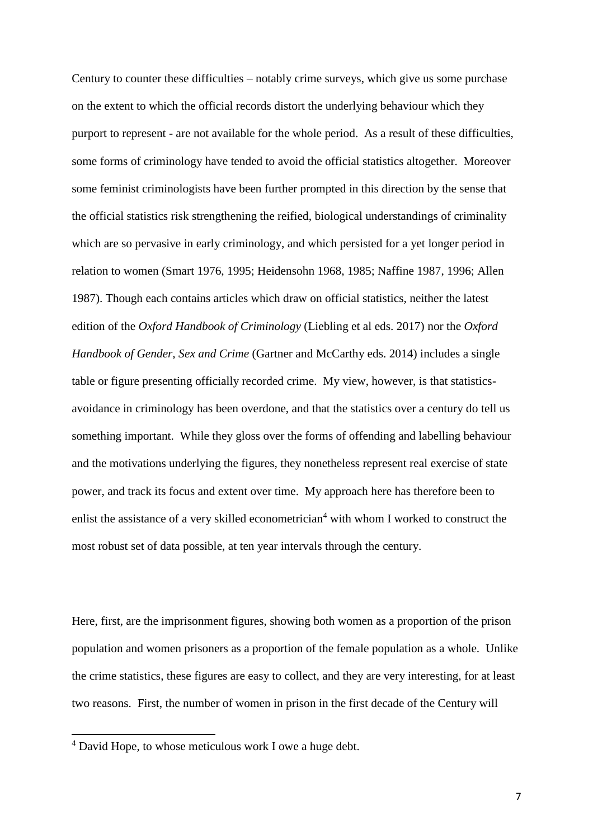Century to counter these difficulties – notably crime surveys, which give us some purchase on the extent to which the official records distort the underlying behaviour which they purport to represent - are not available for the whole period. As a result of these difficulties, some forms of criminology have tended to avoid the official statistics altogether. Moreover some feminist criminologists have been further prompted in this direction by the sense that the official statistics risk strengthening the reified, biological understandings of criminality which are so pervasive in early criminology, and which persisted for a yet longer period in relation to women (Smart 1976, 1995; Heidensohn 1968, 1985; Naffine 1987, 1996; Allen 1987). Though each contains articles which draw on official statistics, neither the latest edition of the *Oxford Handbook of Criminology* (Liebling et al eds. 2017) nor the *Oxford Handbook of Gender, Sex and Crime* (Gartner and McCarthy eds. 2014) includes a single table or figure presenting officially recorded crime. My view, however, is that statisticsavoidance in criminology has been overdone, and that the statistics over a century do tell us something important. While they gloss over the forms of offending and labelling behaviour and the motivations underlying the figures, they nonetheless represent real exercise of state power, and track its focus and extent over time. My approach here has therefore been to enlist the assistance of a very skilled econometrician<sup>4</sup> with whom I worked to construct the most robust set of data possible, at ten year intervals through the century.

Here, first, are the imprisonment figures, showing both women as a proportion of the prison population and women prisoners as a proportion of the female population as a whole. Unlike the crime statistics, these figures are easy to collect, and they are very interesting, for at least two reasons. First, the number of women in prison in the first decade of the Century will

<sup>4</sup> David Hope, to whose meticulous work I owe a huge debt.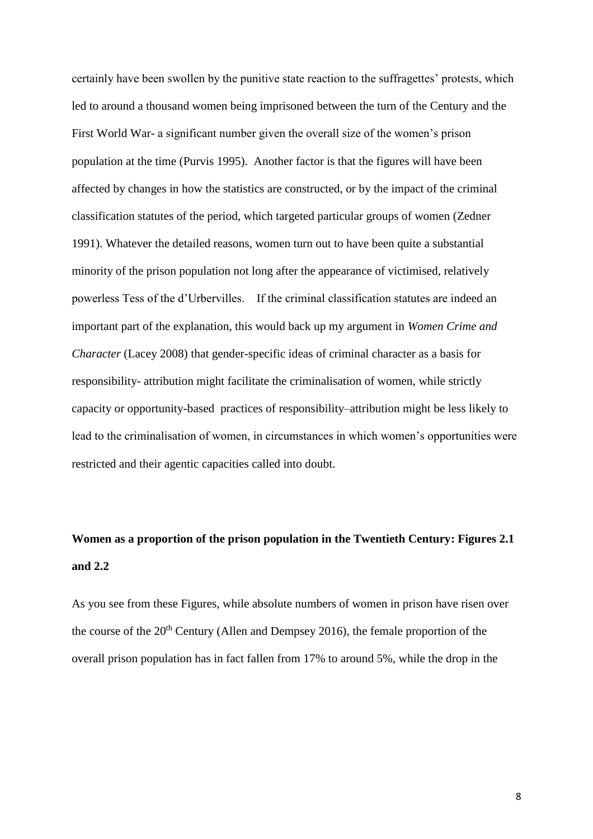certainly have been swollen by the punitive state reaction to the suffragettes' protests, which led to around a thousand women being imprisoned between the turn of the Century and the First World War- a significant number given the overall size of the women's prison population at the time (Purvis 1995). Another factor is that the figures will have been affected by changes in how the statistics are constructed, or by the impact of the criminal classification statutes of the period, which targeted particular groups of women (Zedner 1991). Whatever the detailed reasons, women turn out to have been quite a substantial minority of the prison population not long after the appearance of victimised, relatively powerless Tess of the d'Urbervilles. If the criminal classification statutes are indeed an important part of the explanation, this would back up my argument in *Women Crime and Character* (Lacey 2008) that gender-specific ideas of criminal character as a basis for responsibility- attribution might facilitate the criminalisation of women, while strictly capacity or opportunity-based practices of responsibility–attribution might be less likely to lead to the criminalisation of women, in circumstances in which women's opportunities were restricted and their agentic capacities called into doubt.

### **Women as a proportion of the prison population in the Twentieth Century: Figures 2.1 and 2.2**

As you see from these Figures, while absolute numbers of women in prison have risen over the course of the  $20<sup>th</sup>$  Century (Allen and Dempsey 2016), the female proportion of the overall prison population has in fact fallen from 17% to around 5%, while the drop in the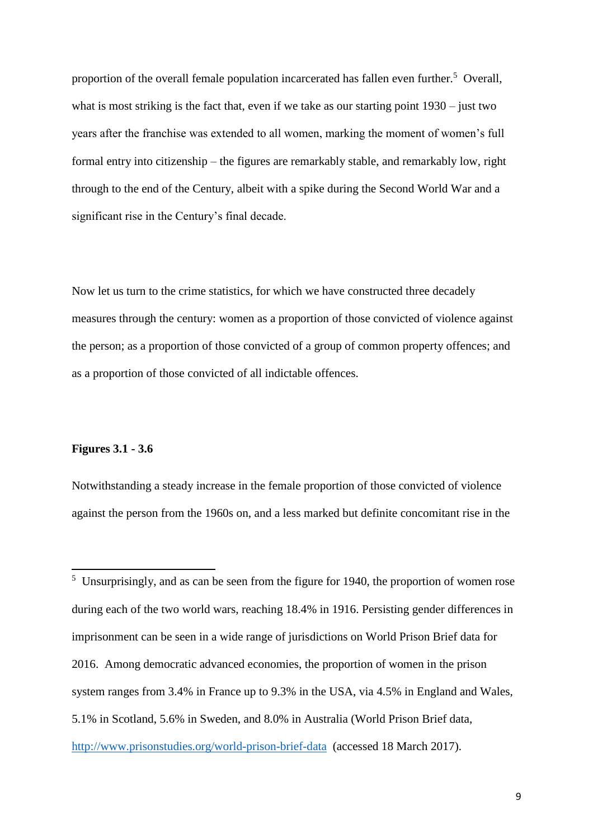proportion of the overall female population incarcerated has fallen even further.<sup>5</sup> Overall, what is most striking is the fact that, even if we take as our starting point 1930 – just two years after the franchise was extended to all women, marking the moment of women's full formal entry into citizenship – the figures are remarkably stable, and remarkably low, right through to the end of the Century, albeit with a spike during the Second World War and a significant rise in the Century's final decade.

Now let us turn to the crime statistics, for which we have constructed three decadely measures through the century: women as a proportion of those convicted of violence against the person; as a proportion of those convicted of a group of common property offences; and as a proportion of those convicted of all indictable offences.

#### **Figures 3.1 - 3.6**

 $\overline{a}$ 

Notwithstanding a steady increase in the female proportion of those convicted of violence against the person from the 1960s on, and a less marked but definite concomitant rise in the

 $<sup>5</sup>$  Unsurprisingly, and as can be seen from the figure for 1940, the proportion of women rose</sup> during each of the two world wars, reaching 18.4% in 1916. Persisting gender differences in imprisonment can be seen in a wide range of jurisdictions on World Prison Brief data for 2016. Among democratic advanced economies, the proportion of women in the prison system ranges from 3.4% in France up to 9.3% in the USA, via 4.5% in England and Wales, 5.1% in Scotland, 5.6% in Sweden, and 8.0% in Australia (World Prison Brief data, <http://www.prisonstudies.org/world-prison-brief-data>(accessed 18 March 2017).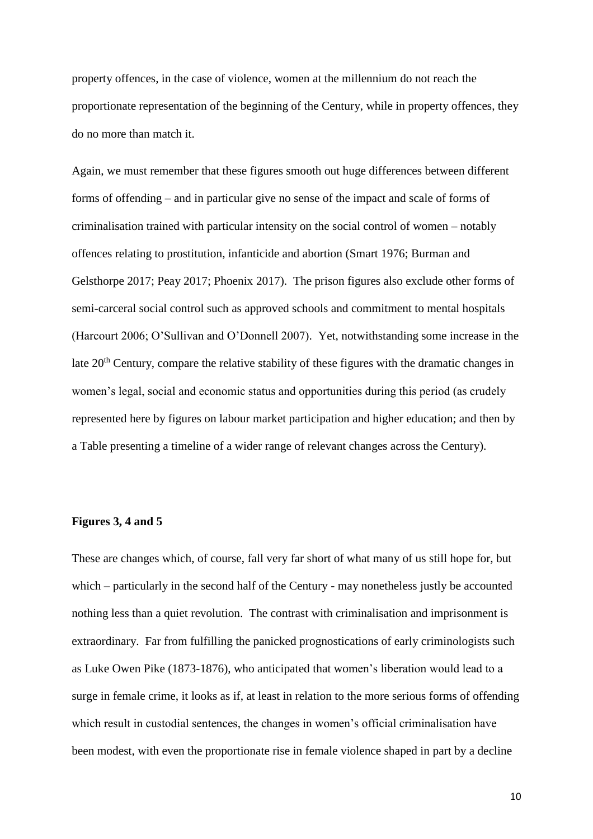property offences, in the case of violence, women at the millennium do not reach the proportionate representation of the beginning of the Century, while in property offences, they do no more than match it.

Again, we must remember that these figures smooth out huge differences between different forms of offending – and in particular give no sense of the impact and scale of forms of criminalisation trained with particular intensity on the social control of women – notably offences relating to prostitution, infanticide and abortion (Smart 1976; Burman and Gelsthorpe 2017; Peay 2017; Phoenix 2017). The prison figures also exclude other forms of semi-carceral social control such as approved schools and commitment to mental hospitals (Harcourt 2006; O'Sullivan and O'Donnell 2007). Yet, notwithstanding some increase in the late 20<sup>th</sup> Century, compare the relative stability of these figures with the dramatic changes in women's legal, social and economic status and opportunities during this period (as crudely represented here by figures on labour market participation and higher education; and then by a Table presenting a timeline of a wider range of relevant changes across the Century).

#### **Figures 3, 4 and 5**

These are changes which, of course, fall very far short of what many of us still hope for, but which – particularly in the second half of the Century - may nonetheless justly be accounted nothing less than a quiet revolution. The contrast with criminalisation and imprisonment is extraordinary. Far from fulfilling the panicked prognostications of early criminologists such as Luke Owen Pike (1873-1876), who anticipated that women's liberation would lead to a surge in female crime, it looks as if, at least in relation to the more serious forms of offending which result in custodial sentences, the changes in women's official criminalisation have been modest, with even the proportionate rise in female violence shaped in part by a decline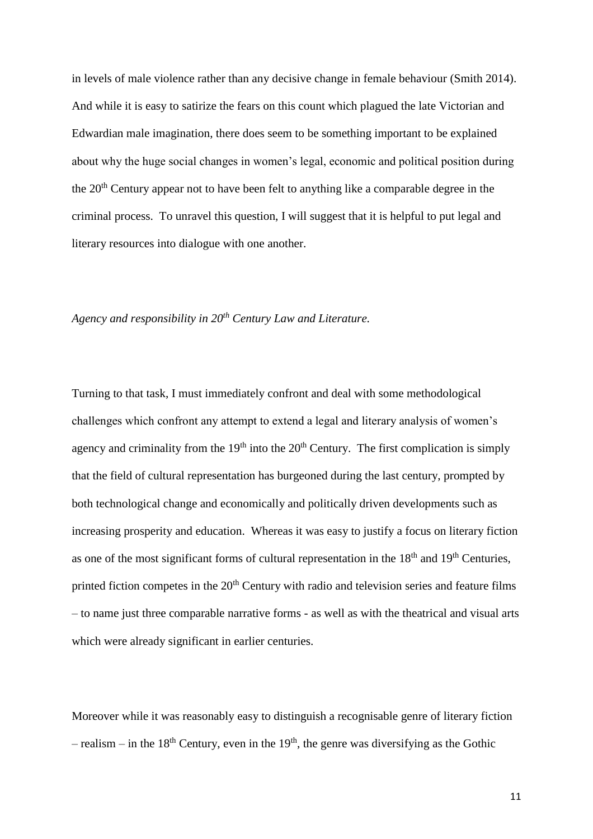in levels of male violence rather than any decisive change in female behaviour (Smith 2014). And while it is easy to satirize the fears on this count which plagued the late Victorian and Edwardian male imagination, there does seem to be something important to be explained about why the huge social changes in women's legal, economic and political position during the 20<sup>th</sup> Century appear not to have been felt to anything like a comparable degree in the criminal process. To unravel this question, I will suggest that it is helpful to put legal and literary resources into dialogue with one another.

#### *Agency and responsibility in 20th Century Law and Literature.*

Turning to that task, I must immediately confront and deal with some methodological challenges which confront any attempt to extend a legal and literary analysis of women's agency and criminality from the  $19<sup>th</sup>$  into the  $20<sup>th</sup>$  Century. The first complication is simply that the field of cultural representation has burgeoned during the last century, prompted by both technological change and economically and politically driven developments such as increasing prosperity and education. Whereas it was easy to justify a focus on literary fiction as one of the most significant forms of cultural representation in the  $18<sup>th</sup>$  and  $19<sup>th</sup>$  Centuries, printed fiction competes in the  $20<sup>th</sup>$  Century with radio and television series and feature films – to name just three comparable narrative forms - as well as with the theatrical and visual arts which were already significant in earlier centuries.

Moreover while it was reasonably easy to distinguish a recognisable genre of literary fiction – realism – in the 18<sup>th</sup> Century, even in the 19<sup>th</sup>, the genre was diversifying as the Gothic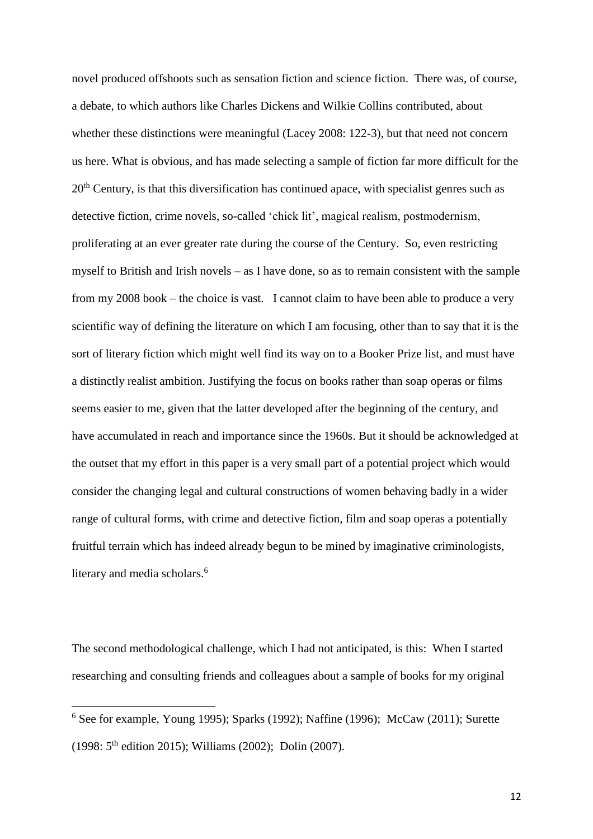novel produced offshoots such as sensation fiction and science fiction. There was, of course, a debate, to which authors like Charles Dickens and Wilkie Collins contributed, about whether these distinctions were meaningful (Lacey 2008: 122-3), but that need not concern us here. What is obvious, and has made selecting a sample of fiction far more difficult for the 20<sup>th</sup> Century, is that this diversification has continued apace, with specialist genres such as detective fiction, crime novels, so-called 'chick lit', magical realism, postmodernism, proliferating at an ever greater rate during the course of the Century. So, even restricting myself to British and Irish novels – as I have done, so as to remain consistent with the sample from my 2008 book – the choice is vast. I cannot claim to have been able to produce a very scientific way of defining the literature on which I am focusing, other than to say that it is the sort of literary fiction which might well find its way on to a Booker Prize list, and must have a distinctly realist ambition. Justifying the focus on books rather than soap operas or films seems easier to me, given that the latter developed after the beginning of the century, and have accumulated in reach and importance since the 1960s. But it should be acknowledged at the outset that my effort in this paper is a very small part of a potential project which would consider the changing legal and cultural constructions of women behaving badly in a wider range of cultural forms, with crime and detective fiction, film and soap operas a potentially fruitful terrain which has indeed already begun to be mined by imaginative criminologists, literary and media scholars.<sup>6</sup>

The second methodological challenge, which I had not anticipated, is this: When I started researching and consulting friends and colleagues about a sample of books for my original

 $6$  See for example, Young 1995); Sparks (1992); Naffine (1996); McCaw (2011); Surette (1998: 5th edition 2015); Williams (2002); Dolin (2007).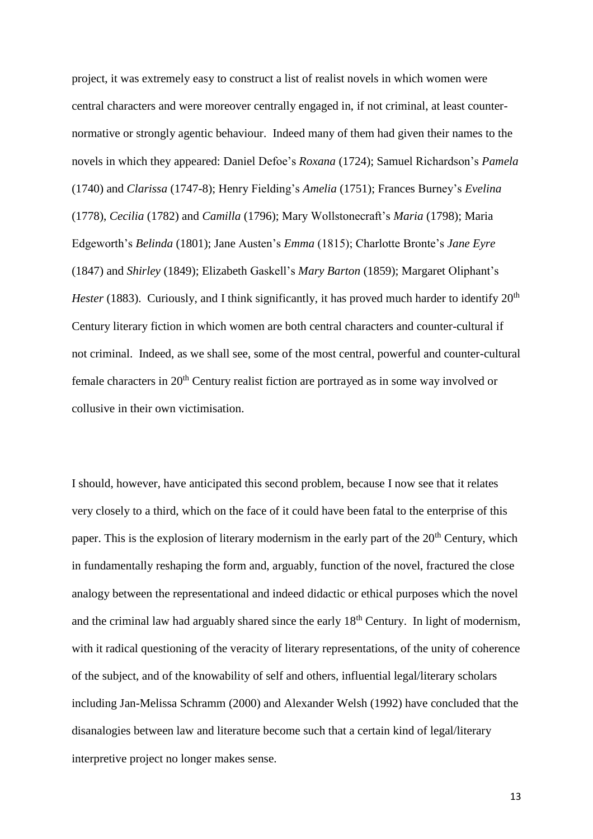project, it was extremely easy to construct a list of realist novels in which women were central characters and were moreover centrally engaged in, if not criminal, at least counternormative or strongly agentic behaviour. Indeed many of them had given their names to the novels in which they appeared: Daniel Defoe's *Roxana* (1724); Samuel Richardson's *Pamela* (1740) and *Clarissa* (1747-8); Henry Fielding's *Amelia* (1751); Frances Burney's *Evelina* (1778), *Cecilia* (1782) and *Camilla* (1796); Mary Wollstonecraft's *Maria* (1798); Maria Edgeworth's *Belinda* (1801); Jane Austen's *Emma* (1815); Charlotte Bronte's *Jane Eyre* (1847) and *Shirley* (1849); Elizabeth Gaskell's *Mary Barton* (1859); Margaret Oliphant's *Hester* (1883). Curiously, and I think significantly, it has proved much harder to identify 20<sup>th</sup> Century literary fiction in which women are both central characters and counter-cultural if not criminal. Indeed, as we shall see, some of the most central, powerful and counter-cultural female characters in 20<sup>th</sup> Century realist fiction are portrayed as in some way involved or collusive in their own victimisation.

I should, however, have anticipated this second problem, because I now see that it relates very closely to a third, which on the face of it could have been fatal to the enterprise of this paper. This is the explosion of literary modernism in the early part of the 20<sup>th</sup> Century, which in fundamentally reshaping the form and, arguably, function of the novel, fractured the close analogy between the representational and indeed didactic or ethical purposes which the novel and the criminal law had arguably shared since the early  $18<sup>th</sup>$  Century. In light of modernism, with it radical questioning of the veracity of literary representations, of the unity of coherence of the subject, and of the knowability of self and others, influential legal/literary scholars including Jan-Melissa Schramm (2000) and Alexander Welsh (1992) have concluded that the disanalogies between law and literature become such that a certain kind of legal/literary interpretive project no longer makes sense.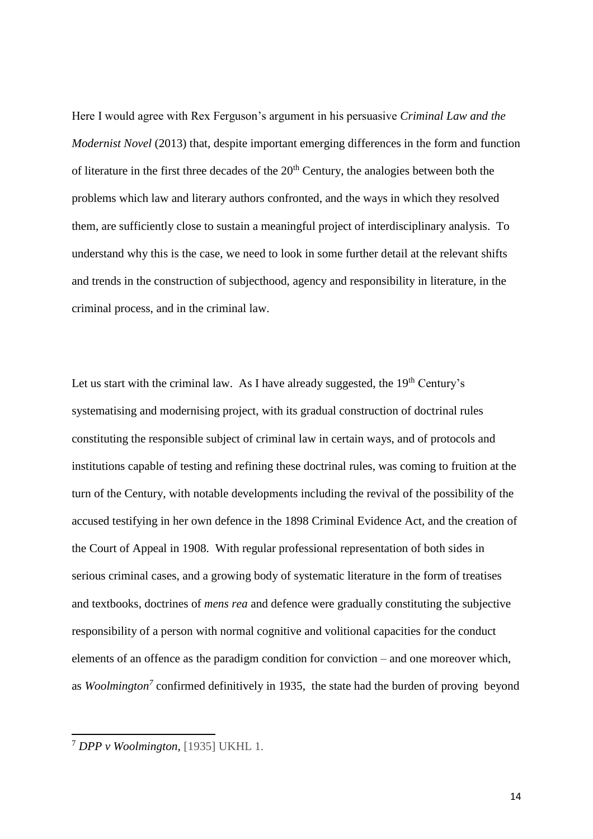Here I would agree with Rex Ferguson's argument in his persuasive *Criminal Law and the Modernist Novel* (2013) that, despite important emerging differences in the form and function of literature in the first three decades of the  $20<sup>th</sup>$  Century, the analogies between both the problems which law and literary authors confronted, and the ways in which they resolved them, are sufficiently close to sustain a meaningful project of interdisciplinary analysis. To understand why this is the case, we need to look in some further detail at the relevant shifts and trends in the construction of subjecthood, agency and responsibility in literature, in the criminal process, and in the criminal law.

Let us start with the criminal law. As I have already suggested, the  $19<sup>th</sup>$  Century's systematising and modernising project, with its gradual construction of doctrinal rules constituting the responsible subject of criminal law in certain ways, and of protocols and institutions capable of testing and refining these doctrinal rules, was coming to fruition at the turn of the Century, with notable developments including the revival of the possibility of the accused testifying in her own defence in the 1898 Criminal Evidence Act, and the creation of the Court of Appeal in 1908. With regular professional representation of both sides in serious criminal cases, and a growing body of systematic literature in the form of treatises and textbooks, doctrines of *mens rea* and defence were gradually constituting the subjective responsibility of a person with normal cognitive and volitional capacities for the conduct elements of an offence as the paradigm condition for conviction – and one moreover which, as *Woolmington<sup>7</sup>* confirmed definitively in 1935, the state had the burden of proving beyond

<sup>7</sup> *DPP v Woolmington,* [1935] UKHL 1.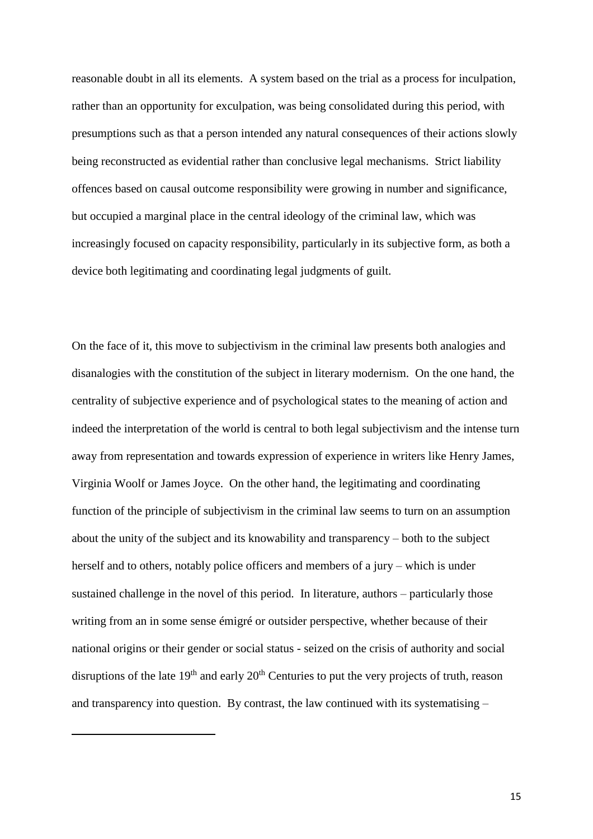reasonable doubt in all its elements. A system based on the trial as a process for inculpation, rather than an opportunity for exculpation, was being consolidated during this period, with presumptions such as that a person intended any natural consequences of their actions slowly being reconstructed as evidential rather than conclusive legal mechanisms. Strict liability offences based on causal outcome responsibility were growing in number and significance, but occupied a marginal place in the central ideology of the criminal law, which was increasingly focused on capacity responsibility, particularly in its subjective form, as both a device both legitimating and coordinating legal judgments of guilt.

On the face of it, this move to subjectivism in the criminal law presents both analogies and disanalogies with the constitution of the subject in literary modernism. On the one hand, the centrality of subjective experience and of psychological states to the meaning of action and indeed the interpretation of the world is central to both legal subjectivism and the intense turn away from representation and towards expression of experience in writers like Henry James, Virginia Woolf or James Joyce. On the other hand, the legitimating and coordinating function of the principle of subjectivism in the criminal law seems to turn on an assumption about the unity of the subject and its knowability and transparency – both to the subject herself and to others, notably police officers and members of a jury – which is under sustained challenge in the novel of this period. In literature, authors – particularly those writing from an in some sense émigré or outsider perspective, whether because of their national origins or their gender or social status - seized on the crisis of authority and social disruptions of the late  $19<sup>th</sup>$  and early  $20<sup>th</sup>$  Centuries to put the very projects of truth, reason and transparency into question. By contrast, the law continued with its systematising –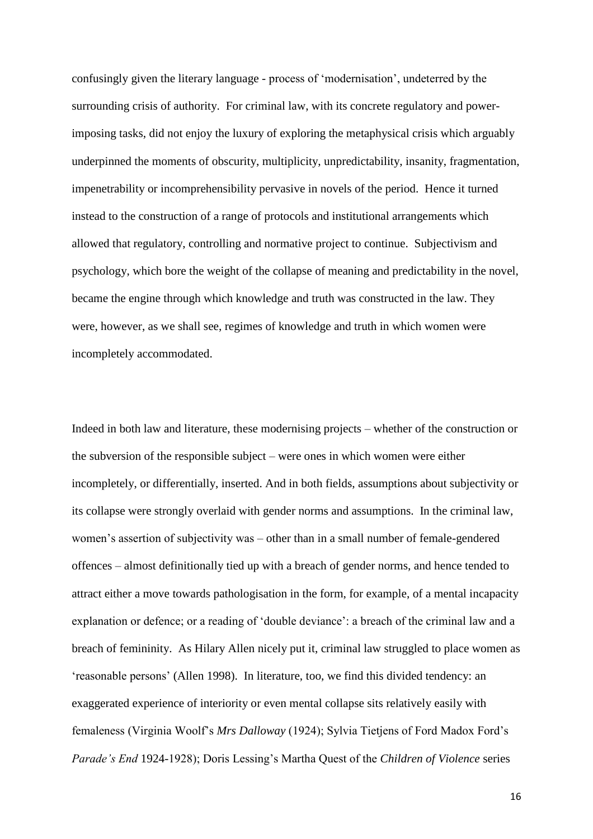confusingly given the literary language - process of 'modernisation', undeterred by the surrounding crisis of authority. For criminal law, with its concrete regulatory and powerimposing tasks, did not enjoy the luxury of exploring the metaphysical crisis which arguably underpinned the moments of obscurity, multiplicity, unpredictability, insanity, fragmentation, impenetrability or incomprehensibility pervasive in novels of the period. Hence it turned instead to the construction of a range of protocols and institutional arrangements which allowed that regulatory, controlling and normative project to continue. Subjectivism and psychology, which bore the weight of the collapse of meaning and predictability in the novel, became the engine through which knowledge and truth was constructed in the law. They were, however, as we shall see, regimes of knowledge and truth in which women were incompletely accommodated.

Indeed in both law and literature, these modernising projects – whether of the construction or the subversion of the responsible subject – were ones in which women were either incompletely, or differentially, inserted. And in both fields, assumptions about subjectivity or its collapse were strongly overlaid with gender norms and assumptions. In the criminal law, women's assertion of subjectivity was – other than in a small number of female-gendered offences – almost definitionally tied up with a breach of gender norms, and hence tended to attract either a move towards pathologisation in the form, for example, of a mental incapacity explanation or defence; or a reading of 'double deviance': a breach of the criminal law and a breach of femininity. As Hilary Allen nicely put it, criminal law struggled to place women as 'reasonable persons' (Allen 1998). In literature, too, we find this divided tendency: an exaggerated experience of interiority or even mental collapse sits relatively easily with femaleness (Virginia Woolf's *Mrs Dalloway* (1924); Sylvia Tietjens of Ford Madox Ford's *Parade's End* 1924-1928); Doris Lessing's Martha Quest of the *Children of Violence* series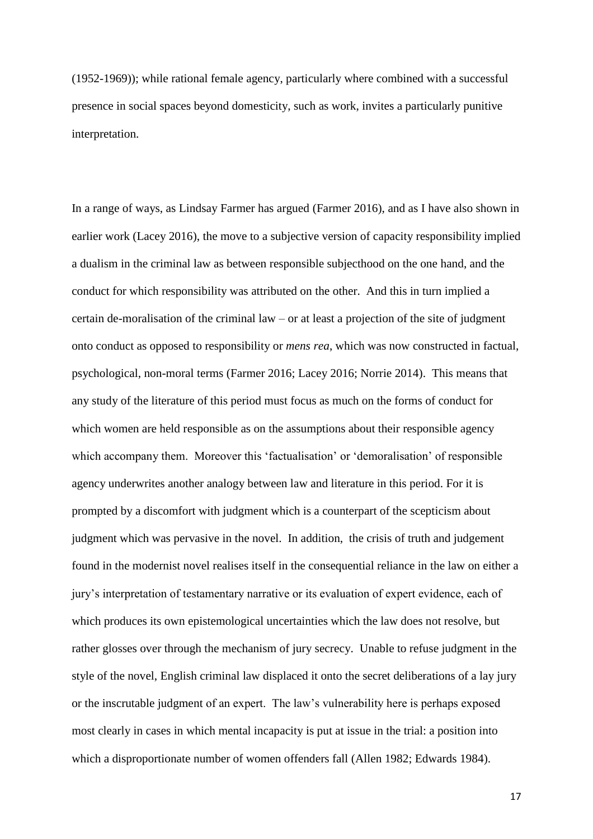(1952-1969)); while rational female agency, particularly where combined with a successful presence in social spaces beyond domesticity, such as work, invites a particularly punitive interpretation.

In a range of ways, as Lindsay Farmer has argued (Farmer 2016), and as I have also shown in earlier work (Lacey 2016), the move to a subjective version of capacity responsibility implied a dualism in the criminal law as between responsible subjecthood on the one hand, and the conduct for which responsibility was attributed on the other. And this in turn implied a certain de-moralisation of the criminal law – or at least a projection of the site of judgment onto conduct as opposed to responsibility or *mens rea*, which was now constructed in factual, psychological, non-moral terms (Farmer 2016; Lacey 2016; Norrie 2014). This means that any study of the literature of this period must focus as much on the forms of conduct for which women are held responsible as on the assumptions about their responsible agency which accompany them. Moreover this 'factualisation' or 'demoralisation' of responsible agency underwrites another analogy between law and literature in this period. For it is prompted by a discomfort with judgment which is a counterpart of the scepticism about judgment which was pervasive in the novel. In addition, the crisis of truth and judgement found in the modernist novel realises itself in the consequential reliance in the law on either a jury's interpretation of testamentary narrative or its evaluation of expert evidence, each of which produces its own epistemological uncertainties which the law does not resolve, but rather glosses over through the mechanism of jury secrecy. Unable to refuse judgment in the style of the novel, English criminal law displaced it onto the secret deliberations of a lay jury or the inscrutable judgment of an expert. The law's vulnerability here is perhaps exposed most clearly in cases in which mental incapacity is put at issue in the trial: a position into which a disproportionate number of women offenders fall (Allen 1982; Edwards 1984).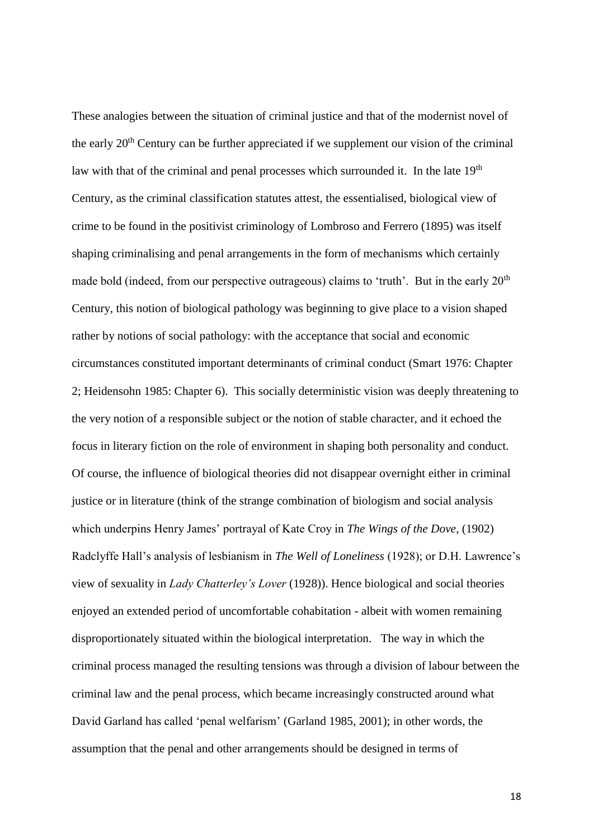These analogies between the situation of criminal justice and that of the modernist novel of the early 20<sup>th</sup> Century can be further appreciated if we supplement our vision of the criminal law with that of the criminal and penal processes which surrounded it. In the late 19<sup>th</sup> Century, as the criminal classification statutes attest, the essentialised, biological view of crime to be found in the positivist criminology of Lombroso and Ferrero (1895) was itself shaping criminalising and penal arrangements in the form of mechanisms which certainly made bold (indeed, from our perspective outrageous) claims to 'truth'. But in the early  $20<sup>th</sup>$ Century, this notion of biological pathology was beginning to give place to a vision shaped rather by notions of social pathology: with the acceptance that social and economic circumstances constituted important determinants of criminal conduct (Smart 1976: Chapter 2; Heidensohn 1985: Chapter 6). This socially deterministic vision was deeply threatening to the very notion of a responsible subject or the notion of stable character, and it echoed the focus in literary fiction on the role of environment in shaping both personality and conduct. Of course, the influence of biological theories did not disappear overnight either in criminal justice or in literature (think of the strange combination of biologism and social analysis which underpins Henry James' portrayal of Kate Croy in *The Wings of the Dove*, (1902) Radclyffe Hall's analysis of lesbianism in *The Well of Loneliness* (1928); or D.H. Lawrence's view of sexuality in *Lady Chatterley's Lover* (1928)). Hence biological and social theories enjoyed an extended period of uncomfortable cohabitation - albeit with women remaining disproportionately situated within the biological interpretation. The way in which the criminal process managed the resulting tensions was through a division of labour between the criminal law and the penal process, which became increasingly constructed around what David Garland has called 'penal welfarism' (Garland 1985, 2001); in other words, the assumption that the penal and other arrangements should be designed in terms of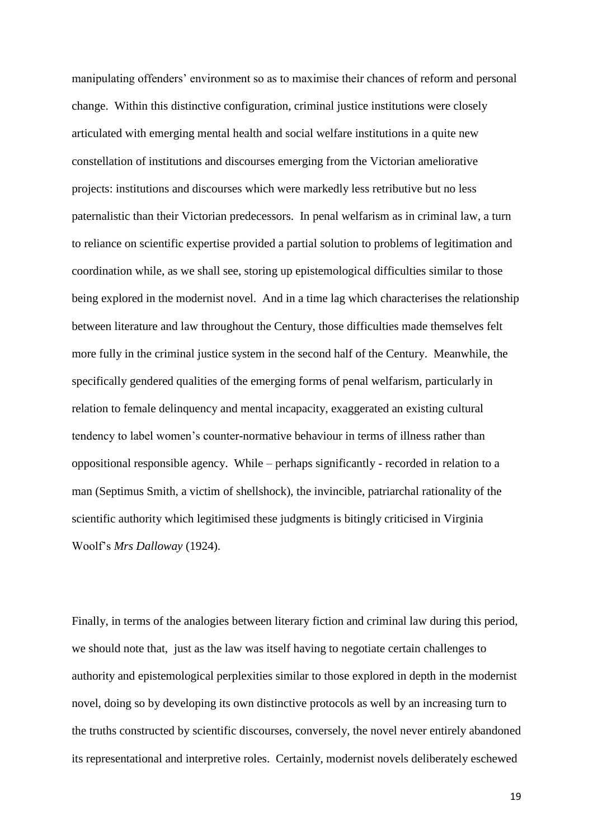manipulating offenders' environment so as to maximise their chances of reform and personal change. Within this distinctive configuration, criminal justice institutions were closely articulated with emerging mental health and social welfare institutions in a quite new constellation of institutions and discourses emerging from the Victorian ameliorative projects: institutions and discourses which were markedly less retributive but no less paternalistic than their Victorian predecessors. In penal welfarism as in criminal law, a turn to reliance on scientific expertise provided a partial solution to problems of legitimation and coordination while, as we shall see, storing up epistemological difficulties similar to those being explored in the modernist novel. And in a time lag which characterises the relationship between literature and law throughout the Century, those difficulties made themselves felt more fully in the criminal justice system in the second half of the Century. Meanwhile, the specifically gendered qualities of the emerging forms of penal welfarism, particularly in relation to female delinquency and mental incapacity, exaggerated an existing cultural tendency to label women's counter-normative behaviour in terms of illness rather than oppositional responsible agency. While – perhaps significantly - recorded in relation to a man (Septimus Smith, a victim of shellshock), the invincible, patriarchal rationality of the scientific authority which legitimised these judgments is bitingly criticised in Virginia Woolf's *Mrs Dalloway* (1924).

Finally, in terms of the analogies between literary fiction and criminal law during this period, we should note that, just as the law was itself having to negotiate certain challenges to authority and epistemological perplexities similar to those explored in depth in the modernist novel, doing so by developing its own distinctive protocols as well by an increasing turn to the truths constructed by scientific discourses, conversely, the novel never entirely abandoned its representational and interpretive roles. Certainly, modernist novels deliberately eschewed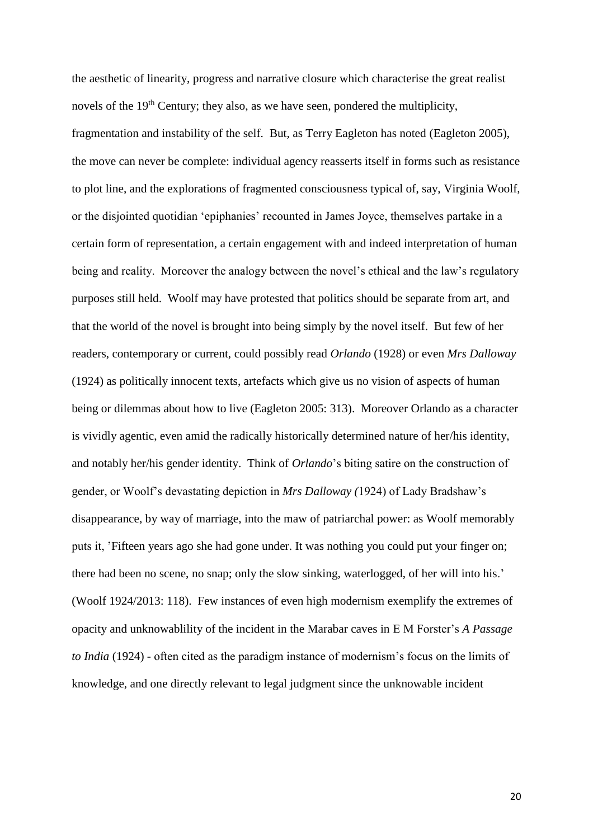the aesthetic of linearity, progress and narrative closure which characterise the great realist novels of the  $19<sup>th</sup>$  Century; they also, as we have seen, pondered the multiplicity, fragmentation and instability of the self. But, as Terry Eagleton has noted (Eagleton 2005), the move can never be complete: individual agency reasserts itself in forms such as resistance to plot line, and the explorations of fragmented consciousness typical of, say, Virginia Woolf, or the disjointed quotidian 'epiphanies' recounted in James Joyce, themselves partake in a certain form of representation, a certain engagement with and indeed interpretation of human being and reality. Moreover the analogy between the novel's ethical and the law's regulatory purposes still held. Woolf may have protested that politics should be separate from art, and that the world of the novel is brought into being simply by the novel itself. But few of her readers, contemporary or current, could possibly read *Orlando* (1928) or even *Mrs Dalloway* (1924) as politically innocent texts, artefacts which give us no vision of aspects of human being or dilemmas about how to live (Eagleton 2005: 313). Moreover Orlando as a character is vividly agentic, even amid the radically historically determined nature of her/his identity, and notably her/his gender identity. Think of *Orlando*'s biting satire on the construction of gender, or Woolf's devastating depiction in *Mrs Dalloway (*1924) of Lady Bradshaw's disappearance, by way of marriage, into the maw of patriarchal power: as Woolf memorably puts it, 'Fifteen years ago she had gone under. It was nothing you could put your finger on; there had been no scene, no snap; only the slow sinking, waterlogged, of her will into his.' (Woolf 1924/2013: 118). Few instances of even high modernism exemplify the extremes of opacity and unknowablility of the incident in the Marabar caves in E M Forster's *A Passage to India* (1924) *-* often cited as the paradigm instance of modernism's focus on the limits of knowledge, and one directly relevant to legal judgment since the unknowable incident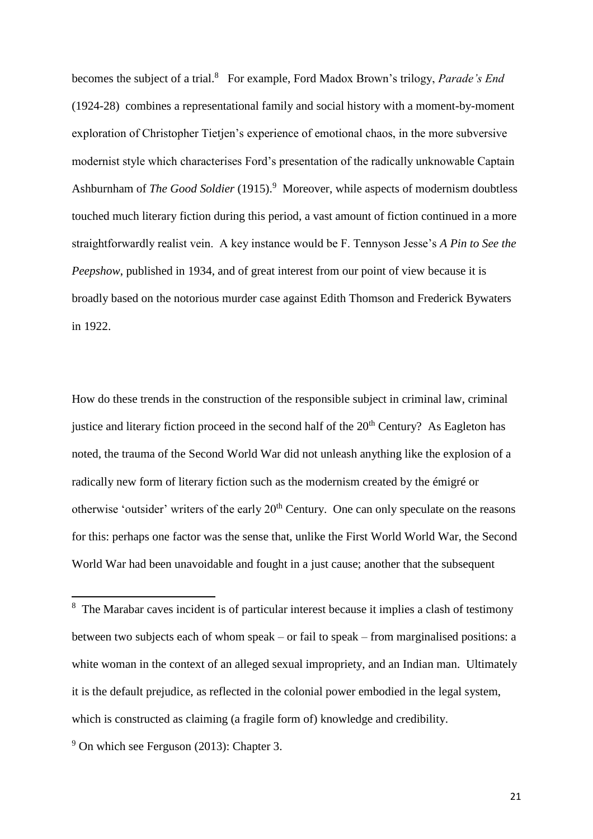becomes the subject of a trial.<sup>8</sup> For example, Ford Madox Brown's trilogy, *Parade's End* (1924-28) combines a representational family and social history with a moment-by-moment exploration of Christopher Tietjen's experience of emotional chaos, in the more subversive modernist style which characterises Ford's presentation of the radically unknowable Captain Ashburnham of *The Good Soldier* (1915).<sup>9</sup> Moreover, while aspects of modernism doubtless touched much literary fiction during this period, a vast amount of fiction continued in a more straightforwardly realist vein. A key instance would be F. Tennyson Jesse's *A Pin to See the Peepshow*, published in 1934, and of great interest from our point of view because it is broadly based on the notorious murder case against Edith Thomson and Frederick Bywaters in 1922.

How do these trends in the construction of the responsible subject in criminal law, criminal justice and literary fiction proceed in the second half of the  $20<sup>th</sup>$  Century? As Eagleton has noted, the trauma of the Second World War did not unleash anything like the explosion of a radically new form of literary fiction such as the modernism created by the émigré or otherwise 'outsider' writers of the early  $20<sup>th</sup>$  Century. One can only speculate on the reasons for this: perhaps one factor was the sense that, unlike the First World World War, the Second World War had been unavoidable and fought in a just cause; another that the subsequent

<sup>&</sup>lt;sup>8</sup> The Marabar caves incident is of particular interest because it implies a clash of testimony between two subjects each of whom speak – or fail to speak – from marginalised positions: a white woman in the context of an alleged sexual impropriety, and an Indian man. Ultimately it is the default prejudice, as reflected in the colonial power embodied in the legal system, which is constructed as claiming (a fragile form of) knowledge and credibility.

 $9$  On which see Ferguson (2013): Chapter 3.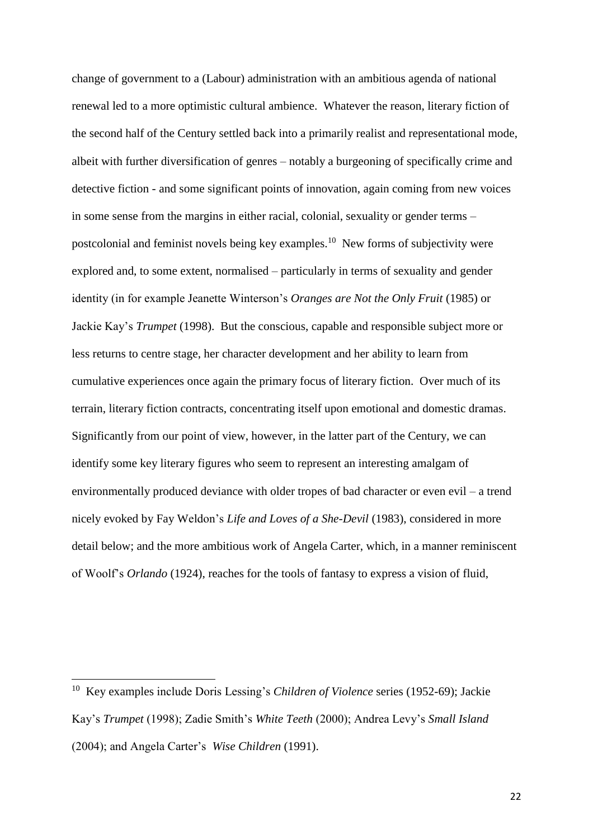change of government to a (Labour) administration with an ambitious agenda of national renewal led to a more optimistic cultural ambience. Whatever the reason, literary fiction of the second half of the Century settled back into a primarily realist and representational mode, albeit with further diversification of genres – notably a burgeoning of specifically crime and detective fiction - and some significant points of innovation, again coming from new voices in some sense from the margins in either racial, colonial, sexuality or gender terms – postcolonial and feminist novels being key examples.<sup>10</sup> New forms of subjectivity were explored and, to some extent, normalised – particularly in terms of sexuality and gender identity (in for example Jeanette Winterson's *Oranges are Not the Only Fruit* (1985) or Jackie Kay's *Trumpet* (1998). But the conscious, capable and responsible subject more or less returns to centre stage, her character development and her ability to learn from cumulative experiences once again the primary focus of literary fiction. Over much of its terrain, literary fiction contracts, concentrating itself upon emotional and domestic dramas. Significantly from our point of view, however, in the latter part of the Century, we can identify some key literary figures who seem to represent an interesting amalgam of environmentally produced deviance with older tropes of bad character or even evil – a trend nicely evoked by Fay Weldon's *Life and Loves of a She-Devil* (1983), considered in more detail below; and the more ambitious work of Angela Carter, which, in a manner reminiscent of Woolf's *Orlando* (1924), reaches for the tools of fantasy to express a vision of fluid,

<sup>10</sup> Key examples include Doris Lessing's *Children of Violence* series (1952-69); Jackie Kay's *Trumpet* (1998); Zadie Smith's *White Teeth* (2000); Andrea Levy's *Small Island*  (2004); and Angela Carter's *Wise Children* (1991).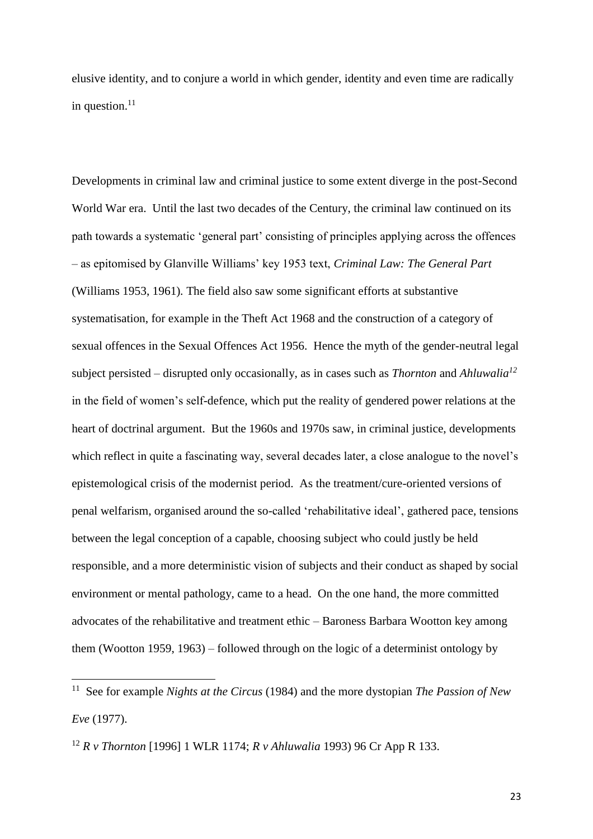elusive identity, and to conjure a world in which gender, identity and even time are radically in question. $11$ 

Developments in criminal law and criminal justice to some extent diverge in the post-Second World War era. Until the last two decades of the Century, the criminal law continued on its path towards a systematic 'general part' consisting of principles applying across the offences – as epitomised by Glanville Williams' key 1953 text, *Criminal Law: The General Part* (Williams 1953, 1961)*.* The field also saw some significant efforts at substantive systematisation, for example in the Theft Act 1968 and the construction of a category of sexual offences in the Sexual Offences Act 1956. Hence the myth of the gender-neutral legal subject persisted – disrupted only occasionally, as in cases such as *Thornton* and *Ahluwalia<sup>12</sup>* in the field of women's self-defence, which put the reality of gendered power relations at the heart of doctrinal argument. But the 1960s and 1970s saw, in criminal justice, developments which reflect in quite a fascinating way, several decades later, a close analogue to the novel's epistemological crisis of the modernist period. As the treatment/cure-oriented versions of penal welfarism, organised around the so-called 'rehabilitative ideal', gathered pace, tensions between the legal conception of a capable, choosing subject who could justly be held responsible, and a more deterministic vision of subjects and their conduct as shaped by social environment or mental pathology, came to a head. On the one hand, the more committed advocates of the rehabilitative and treatment ethic – Baroness Barbara Wootton key among them (Wootton 1959, 1963) – followed through on the logic of a determinist ontology by

<sup>11</sup> See for example *Nights at the Circus* (1984) and the more dystopian *The Passion of New Eve* (1977).

<sup>12</sup> *R v Thornton* [1996] 1 WLR 1174; *R v Ahluwalia* 1993) 96 Cr App R 133.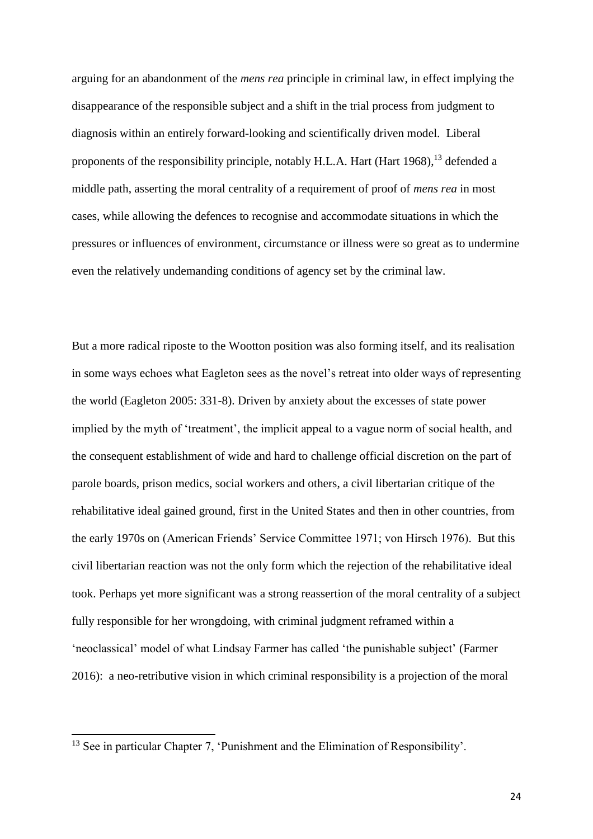arguing for an abandonment of the *mens rea* principle in criminal law, in effect implying the disappearance of the responsible subject and a shift in the trial process from judgment to diagnosis within an entirely forward-looking and scientifically driven model. Liberal proponents of the responsibility principle, notably H.L.A. Hart (Hart 1968), <sup>13</sup> defended a middle path, asserting the moral centrality of a requirement of proof of *mens rea* in most cases, while allowing the defences to recognise and accommodate situations in which the pressures or influences of environment, circumstance or illness were so great as to undermine even the relatively undemanding conditions of agency set by the criminal law.

But a more radical riposte to the Wootton position was also forming itself, and its realisation in some ways echoes what Eagleton sees as the novel's retreat into older ways of representing the world (Eagleton 2005: 331-8). Driven by anxiety about the excesses of state power implied by the myth of 'treatment', the implicit appeal to a vague norm of social health, and the consequent establishment of wide and hard to challenge official discretion on the part of parole boards, prison medics, social workers and others, a civil libertarian critique of the rehabilitative ideal gained ground, first in the United States and then in other countries, from the early 1970s on (American Friends' Service Committee 1971; von Hirsch 1976). But this civil libertarian reaction was not the only form which the rejection of the rehabilitative ideal took. Perhaps yet more significant was a strong reassertion of the moral centrality of a subject fully responsible for her wrongdoing, with criminal judgment reframed within a 'neoclassical' model of what Lindsay Farmer has called 'the punishable subject' (Farmer 2016): a neo-retributive vision in which criminal responsibility is a projection of the moral

<sup>&</sup>lt;sup>13</sup> See in particular Chapter 7, 'Punishment and the Elimination of Responsibility'.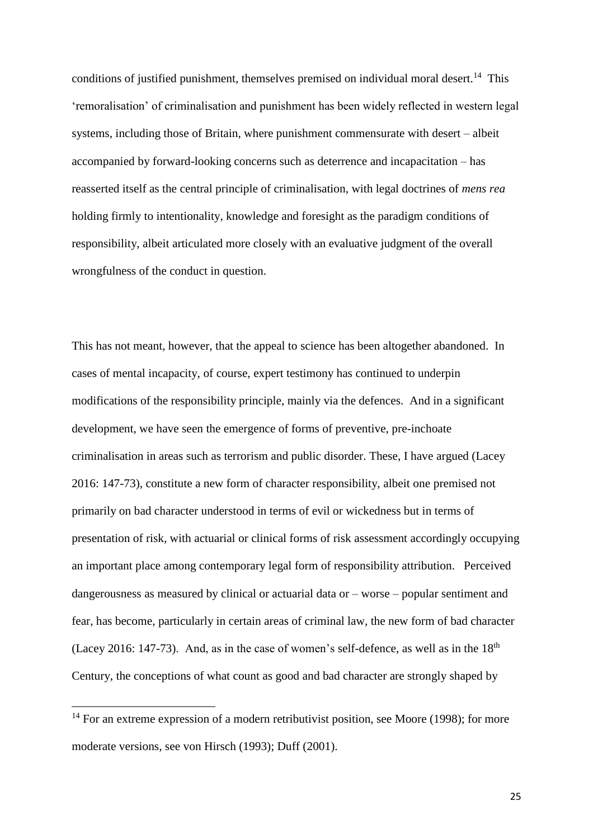conditions of justified punishment, themselves premised on individual moral desert.<sup>14</sup> This 'remoralisation' of criminalisation and punishment has been widely reflected in western legal systems, including those of Britain, where punishment commensurate with desert – albeit accompanied by forward-looking concerns such as deterrence and incapacitation – has reasserted itself as the central principle of criminalisation, with legal doctrines of *mens rea* holding firmly to intentionality, knowledge and foresight as the paradigm conditions of responsibility, albeit articulated more closely with an evaluative judgment of the overall wrongfulness of the conduct in question.

This has not meant, however, that the appeal to science has been altogether abandoned. In cases of mental incapacity, of course, expert testimony has continued to underpin modifications of the responsibility principle, mainly via the defences. And in a significant development, we have seen the emergence of forms of preventive, pre-inchoate criminalisation in areas such as terrorism and public disorder. These, I have argued (Lacey 2016: 147-73), constitute a new form of character responsibility, albeit one premised not primarily on bad character understood in terms of evil or wickedness but in terms of presentation of risk, with actuarial or clinical forms of risk assessment accordingly occupying an important place among contemporary legal form of responsibility attribution. Perceived dangerousness as measured by clinical or actuarial data or – worse – popular sentiment and fear, has become, particularly in certain areas of criminal law, the new form of bad character (Lacey 2016: 147-73). And, as in the case of women's self-defence, as well as in the  $18<sup>th</sup>$ Century, the conceptions of what count as good and bad character are strongly shaped by

 $14$  For an extreme expression of a modern retributivist position, see Moore (1998); for more moderate versions, see von Hirsch (1993); Duff (2001).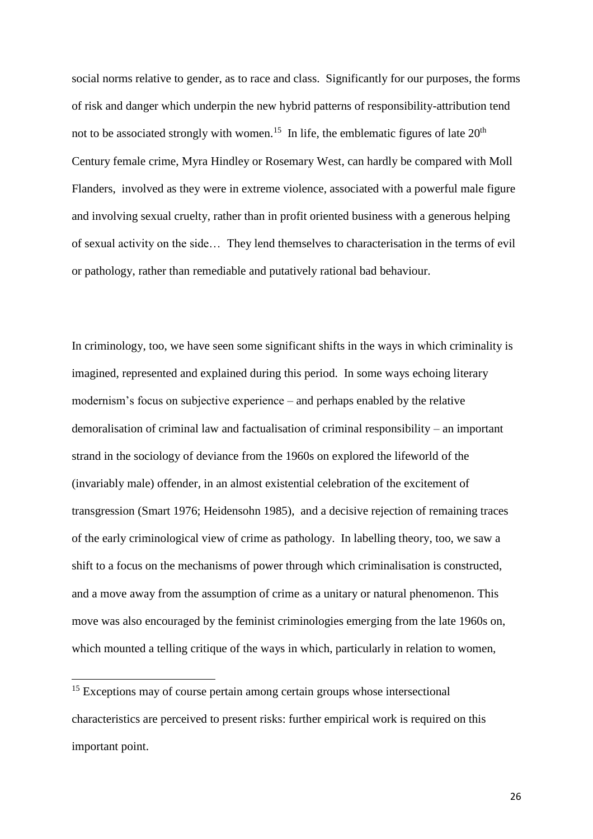social norms relative to gender, as to race and class. Significantly for our purposes, the forms of risk and danger which underpin the new hybrid patterns of responsibility-attribution tend not to be associated strongly with women.<sup>15</sup> In life, the emblematic figures of late  $20<sup>th</sup>$ Century female crime, Myra Hindley or Rosemary West, can hardly be compared with Moll Flanders, involved as they were in extreme violence, associated with a powerful male figure and involving sexual cruelty, rather than in profit oriented business with a generous helping of sexual activity on the side… They lend themselves to characterisation in the terms of evil or pathology, rather than remediable and putatively rational bad behaviour.

In criminology, too, we have seen some significant shifts in the ways in which criminality is imagined, represented and explained during this period. In some ways echoing literary modernism's focus on subjective experience – and perhaps enabled by the relative demoralisation of criminal law and factualisation of criminal responsibility – an important strand in the sociology of deviance from the 1960s on explored the lifeworld of the (invariably male) offender, in an almost existential celebration of the excitement of transgression (Smart 1976; Heidensohn 1985), and a decisive rejection of remaining traces of the early criminological view of crime as pathology. In labelling theory, too, we saw a shift to a focus on the mechanisms of power through which criminalisation is constructed, and a move away from the assumption of crime as a unitary or natural phenomenon. This move was also encouraged by the feminist criminologies emerging from the late 1960s on, which mounted a telling critique of the ways in which, particularly in relation to women,

<sup>15</sup> Exceptions may of course pertain among certain groups whose intersectional characteristics are perceived to present risks: further empirical work is required on this important point.

 $\overline{\phantom{a}}$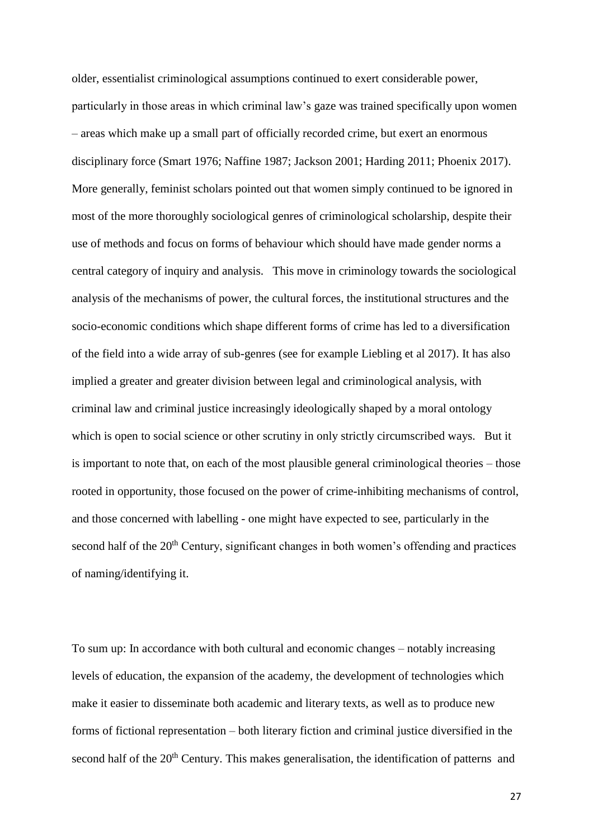older, essentialist criminological assumptions continued to exert considerable power, particularly in those areas in which criminal law's gaze was trained specifically upon women – areas which make up a small part of officially recorded crime, but exert an enormous disciplinary force (Smart 1976; Naffine 1987; Jackson 2001; Harding 2011; Phoenix 2017). More generally, feminist scholars pointed out that women simply continued to be ignored in most of the more thoroughly sociological genres of criminological scholarship, despite their use of methods and focus on forms of behaviour which should have made gender norms a central category of inquiry and analysis. This move in criminology towards the sociological analysis of the mechanisms of power, the cultural forces, the institutional structures and the socio-economic conditions which shape different forms of crime has led to a diversification of the field into a wide array of sub-genres (see for example Liebling et al 2017). It has also implied a greater and greater division between legal and criminological analysis, with criminal law and criminal justice increasingly ideologically shaped by a moral ontology which is open to social science or other scrutiny in only strictly circumscribed ways. But it is important to note that, on each of the most plausible general criminological theories – those rooted in opportunity, those focused on the power of crime-inhibiting mechanisms of control, and those concerned with labelling - one might have expected to see, particularly in the second half of the  $20<sup>th</sup>$  Century, significant changes in both women's offending and practices of naming/identifying it.

To sum up: In accordance with both cultural and economic changes – notably increasing levels of education, the expansion of the academy, the development of technologies which make it easier to disseminate both academic and literary texts, as well as to produce new forms of fictional representation – both literary fiction and criminal justice diversified in the second half of the 20<sup>th</sup> Century. This makes generalisation, the identification of patterns and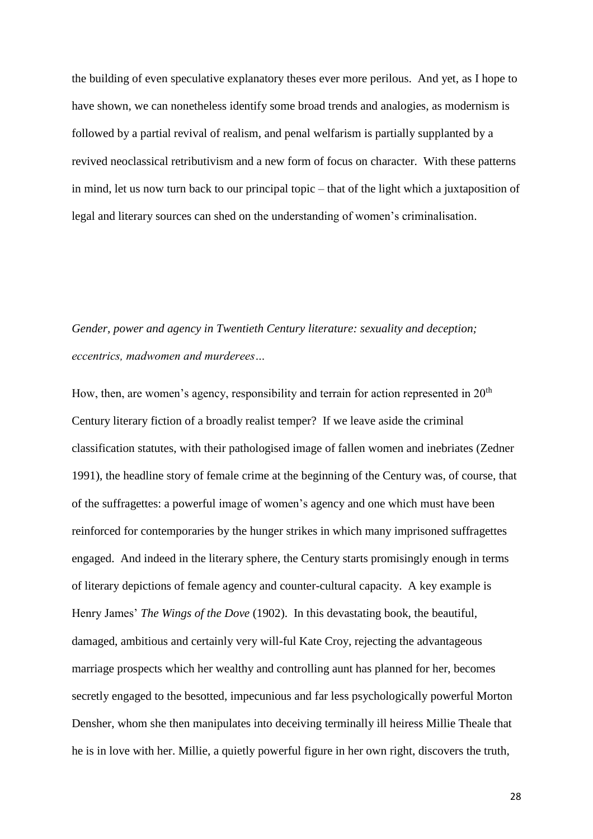the building of even speculative explanatory theses ever more perilous. And yet, as I hope to have shown, we can nonetheless identify some broad trends and analogies, as modernism is followed by a partial revival of realism, and penal welfarism is partially supplanted by a revived neoclassical retributivism and a new form of focus on character. With these patterns in mind, let us now turn back to our principal topic – that of the light which a juxtaposition of legal and literary sources can shed on the understanding of women's criminalisation.

### *Gender, power and agency in Twentieth Century literature: sexuality and deception; eccentrics, madwomen and murderees…*

How, then, are women's agency, responsibility and terrain for action represented in  $20<sup>th</sup>$ Century literary fiction of a broadly realist temper? If we leave aside the criminal classification statutes, with their pathologised image of fallen women and inebriates (Zedner 1991), the headline story of female crime at the beginning of the Century was, of course, that of the suffragettes: a powerful image of women's agency and one which must have been reinforced for contemporaries by the hunger strikes in which many imprisoned suffragettes engaged. And indeed in the literary sphere, the Century starts promisingly enough in terms of literary depictions of female agency and counter-cultural capacity. A key example is Henry James' *The Wings of the Dove* (1902). In this devastating book, the beautiful, damaged, ambitious and certainly very will-ful Kate Croy, rejecting the advantageous marriage prospects which her wealthy and controlling aunt has planned for her, becomes secretly engaged to the besotted, impecunious and far less psychologically powerful Morton Densher, whom she then manipulates into deceiving terminally ill heiress Millie Theale that he is in love with her. Millie, a quietly powerful figure in her own right, discovers the truth,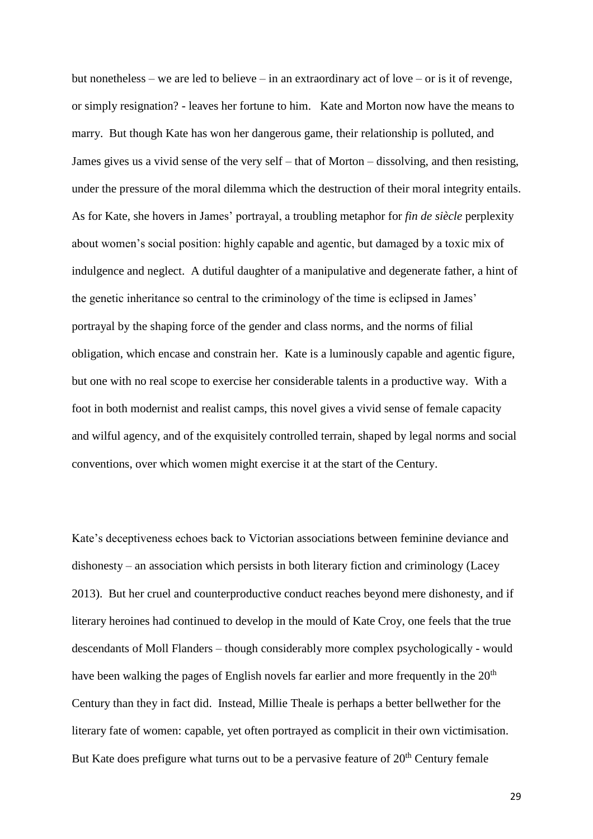but nonetheless – we are led to believe – in an extraordinary act of love – or is it of revenge, or simply resignation? - leaves her fortune to him. Kate and Morton now have the means to marry. But though Kate has won her dangerous game, their relationship is polluted, and James gives us a vivid sense of the very self – that of Morton – dissolving, and then resisting, under the pressure of the moral dilemma which the destruction of their moral integrity entails. As for Kate, she hovers in James' portrayal, a troubling metaphor for *fin de siècle* perplexity about women's social position: highly capable and agentic, but damaged by a toxic mix of indulgence and neglect. A dutiful daughter of a manipulative and degenerate father, a hint of the genetic inheritance so central to the criminology of the time is eclipsed in James' portrayal by the shaping force of the gender and class norms, and the norms of filial obligation, which encase and constrain her. Kate is a luminously capable and agentic figure, but one with no real scope to exercise her considerable talents in a productive way. With a foot in both modernist and realist camps, this novel gives a vivid sense of female capacity and wilful agency, and of the exquisitely controlled terrain, shaped by legal norms and social conventions, over which women might exercise it at the start of the Century.

Kate's deceptiveness echoes back to Victorian associations between feminine deviance and dishonesty – an association which persists in both literary fiction and criminology (Lacey 2013). But her cruel and counterproductive conduct reaches beyond mere dishonesty, and if literary heroines had continued to develop in the mould of Kate Croy, one feels that the true descendants of Moll Flanders – though considerably more complex psychologically - would have been walking the pages of English novels far earlier and more frequently in the 20<sup>th</sup> Century than they in fact did. Instead, Millie Theale is perhaps a better bellwether for the literary fate of women: capable, yet often portrayed as complicit in their own victimisation. But Kate does prefigure what turns out to be a pervasive feature of 20<sup>th</sup> Century female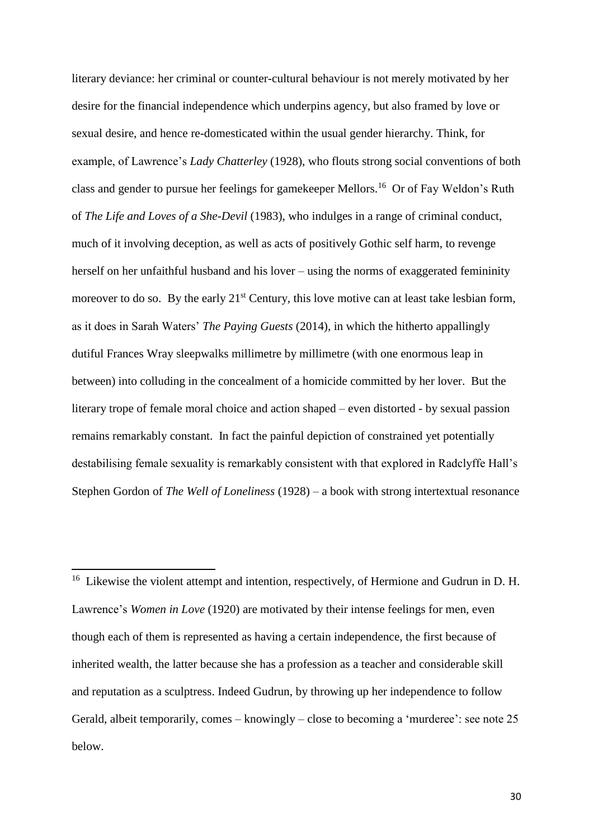literary deviance: her criminal or counter-cultural behaviour is not merely motivated by her desire for the financial independence which underpins agency, but also framed by love or sexual desire, and hence re-domesticated within the usual gender hierarchy. Think, for example, of Lawrence's *Lady Chatterley* (1928), who flouts strong social conventions of both class and gender to pursue her feelings for gamekeeper Mellors.<sup>16</sup> Or of Fay Weldon's Ruth of *The Life and Loves of a She-Devil* (1983), who indulges in a range of criminal conduct, much of it involving deception, as well as acts of positively Gothic self harm, to revenge herself on her unfaithful husband and his lover – using the norms of exaggerated femininity moreover to do so. By the early  $21^{st}$  Century, this love motive can at least take lesbian form, as it does in Sarah Waters' *The Paying Guests* (2014), in which the hitherto appallingly dutiful Frances Wray sleepwalks millimetre by millimetre (with one enormous leap in between) into colluding in the concealment of a homicide committed by her lover. But the literary trope of female moral choice and action shaped – even distorted - by sexual passion remains remarkably constant. In fact the painful depiction of constrained yet potentially destabilising female sexuality is remarkably consistent with that explored in Radclyffe Hall's Stephen Gordon of *The Well of Loneliness* (1928) – a book with strong intertextual resonance

<sup>&</sup>lt;sup>16</sup> Likewise the violent attempt and intention, respectively, of Hermione and Gudrun in D. H. Lawrence's *Women in Love* (1920) are motivated by their intense feelings for men, even though each of them is represented as having a certain independence, the first because of inherited wealth, the latter because she has a profession as a teacher and considerable skill and reputation as a sculptress. Indeed Gudrun, by throwing up her independence to follow Gerald, albeit temporarily, comes – knowingly – close to becoming a 'murderee': see note 25 below.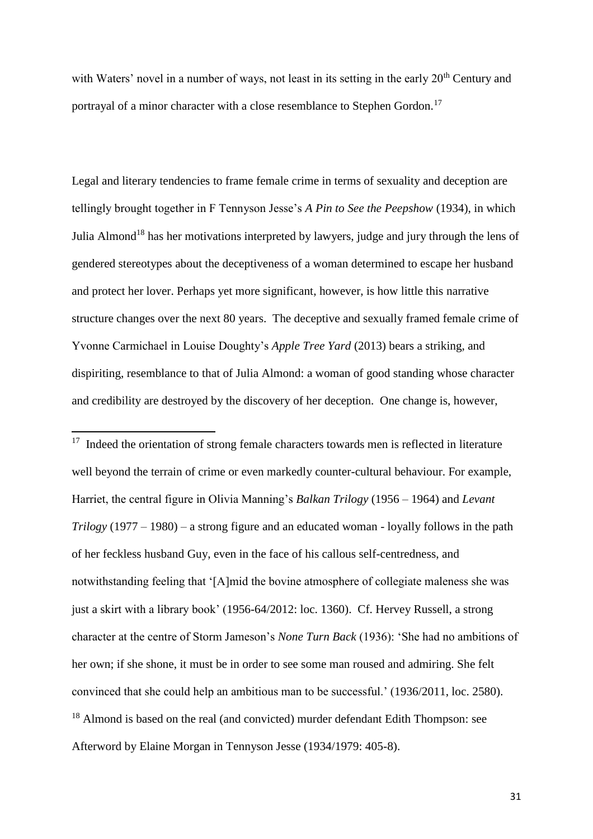with Waters' novel in a number of ways, not least in its setting in the early  $20<sup>th</sup>$  Century and portrayal of a minor character with a close resemblance to Stephen Gordon.<sup>17</sup>

Legal and literary tendencies to frame female crime in terms of sexuality and deception are tellingly brought together in F Tennyson Jesse's *A Pin to See the Peepshow* (1934), in which Julia Almond<sup>18</sup> has her motivations interpreted by lawyers, judge and jury through the lens of gendered stereotypes about the deceptiveness of a woman determined to escape her husband and protect her lover. Perhaps yet more significant, however, is how little this narrative structure changes over the next 80 years. The deceptive and sexually framed female crime of Yvonne Carmichael in Louise Doughty's *Apple Tree Yard* (2013) bears a striking, and dispiriting, resemblance to that of Julia Almond: a woman of good standing whose character and credibility are destroyed by the discovery of her deception. One change is, however,

 $\overline{a}$ 

<sup>17</sup> Indeed the orientation of strong female characters towards men is reflected in literature well beyond the terrain of crime or even markedly counter-cultural behaviour. For example, Harriet, the central figure in Olivia Manning's *Balkan Trilogy* (1956 – 1964) and *Levant Trilogy* (1977 – 1980) – a strong figure and an educated woman - loyally follows in the path of her feckless husband Guy, even in the face of his callous self-centredness, and notwithstanding feeling that '[A]mid the bovine atmosphere of collegiate maleness she was just a skirt with a library book' (1956-64/2012: loc. 1360). Cf. Hervey Russell, a strong character at the centre of Storm Jameson's *None Turn Back* (1936): 'She had no ambitions of her own; if she shone, it must be in order to see some man roused and admiring. She felt convinced that she could help an ambitious man to be successful.' (1936/2011, loc. 2580). <sup>18</sup> Almond is based on the real (and convicted) murder defendant Edith Thompson: see Afterword by Elaine Morgan in Tennyson Jesse (1934/1979: 405-8).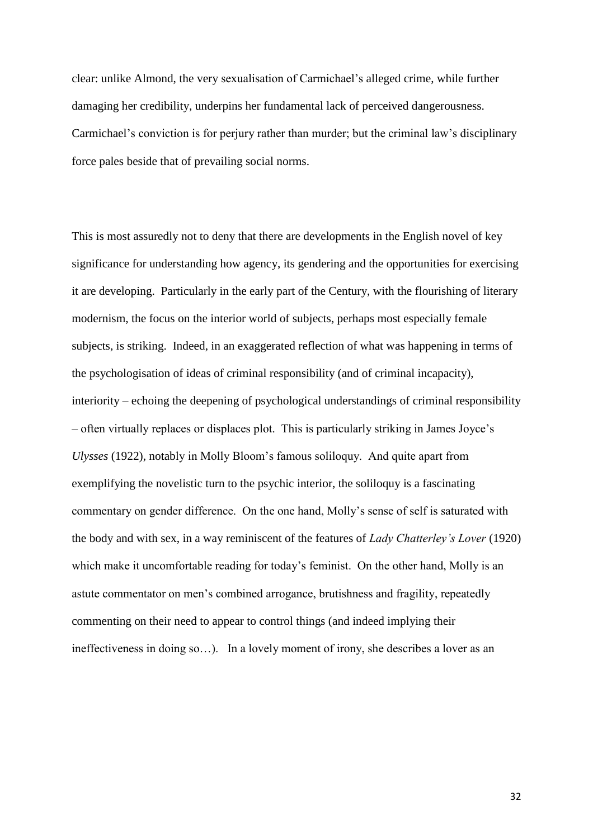clear: unlike Almond, the very sexualisation of Carmichael's alleged crime, while further damaging her credibility, underpins her fundamental lack of perceived dangerousness. Carmichael's conviction is for perjury rather than murder; but the criminal law's disciplinary force pales beside that of prevailing social norms.

This is most assuredly not to deny that there are developments in the English novel of key significance for understanding how agency, its gendering and the opportunities for exercising it are developing. Particularly in the early part of the Century, with the flourishing of literary modernism, the focus on the interior world of subjects, perhaps most especially female subjects, is striking. Indeed, in an exaggerated reflection of what was happening in terms of the psychologisation of ideas of criminal responsibility (and of criminal incapacity), interiority – echoing the deepening of psychological understandings of criminal responsibility – often virtually replaces or displaces plot. This is particularly striking in James Joyce's *Ulysses* (1922), notably in Molly Bloom's famous soliloquy. And quite apart from exemplifying the novelistic turn to the psychic interior, the soliloquy is a fascinating commentary on gender difference. On the one hand, Molly's sense of self is saturated with the body and with sex, in a way reminiscent of the features of *Lady Chatterley's Lover* (1920) which make it uncomfortable reading for today's feminist. On the other hand, Molly is an astute commentator on men's combined arrogance, brutishness and fragility, repeatedly commenting on their need to appear to control things (and indeed implying their ineffectiveness in doing so…). In a lovely moment of irony, she describes a lover as an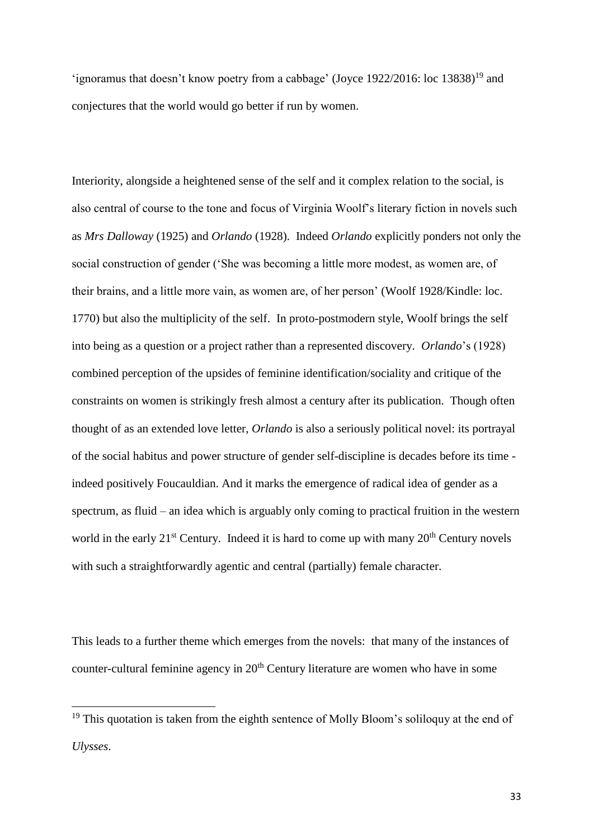'ignoramus that doesn't know poetry from a cabbage' (Joyce 1922/2016: loc 13838)<sup>19</sup> and conjectures that the world would go better if run by women.

Interiority, alongside a heightened sense of the self and it complex relation to the social, is also central of course to the tone and focus of Virginia Woolf's literary fiction in novels such as *Mrs Dalloway* (1925) and *Orlando* (1928). Indeed *Orlando* explicitly ponders not only the social construction of gender ('She was becoming a little more modest, as women are, of their brains, and a little more vain, as women are, of her person' (Woolf 1928/Kindle: loc. 1770) but also the multiplicity of the self. In proto-postmodern style, Woolf brings the self into being as a question or a project rather than a represented discovery. *Orlando*'s (1928) combined perception of the upsides of feminine identification/sociality and critique of the constraints on women is strikingly fresh almost a century after its publication. Though often thought of as an extended love letter, *Orlando* is also a seriously political novel: its portrayal of the social habitus and power structure of gender self-discipline is decades before its time indeed positively Foucauldian. And it marks the emergence of radical idea of gender as a spectrum, as fluid – an idea which is arguably only coming to practical fruition in the western world in the early  $21^{st}$  Century. Indeed it is hard to come up with many  $20^{th}$  Century novels with such a straightforwardly agentic and central (partially) female character.

This leads to a further theme which emerges from the novels: that many of the instances of counter-cultural feminine agency in 20<sup>th</sup> Century literature are women who have in some

<sup>&</sup>lt;sup>19</sup> This quotation is taken from the eighth sentence of Molly Bloom's soliloquy at the end of *Ulysses*.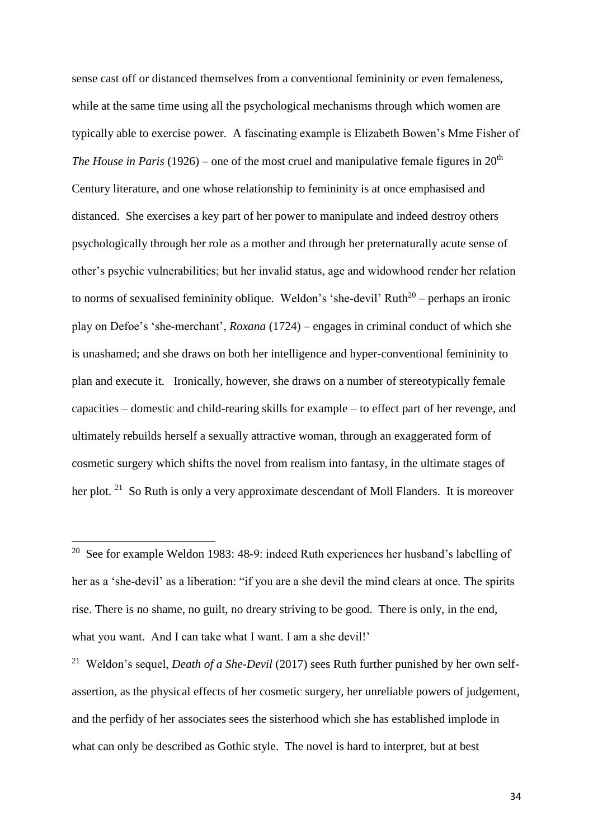sense cast off or distanced themselves from a conventional femininity or even femaleness, while at the same time using all the psychological mechanisms through which women are typically able to exercise power. A fascinating example is Elizabeth Bowen's Mme Fisher of *The House in Paris* (1926) – one of the most cruel and manipulative female figures in  $20<sup>th</sup>$ Century literature, and one whose relationship to femininity is at once emphasised and distanced. She exercises a key part of her power to manipulate and indeed destroy others psychologically through her role as a mother and through her preternaturally acute sense of other's psychic vulnerabilities; but her invalid status, age and widowhood render her relation to norms of sexualised femininity oblique. Weldon's 'she-devil' Ruth<sup>20</sup> – perhaps an ironic play on Defoe's 'she-merchant', *Roxana* (1724) *–* engages in criminal conduct of which she is unashamed; and she draws on both her intelligence and hyper-conventional femininity to plan and execute it. Ironically, however, she draws on a number of stereotypically female capacities – domestic and child-rearing skills for example – to effect part of her revenge, and ultimately rebuilds herself a sexually attractive woman, through an exaggerated form of cosmetic surgery which shifts the novel from realism into fantasy, in the ultimate stages of her plot. <sup>21</sup> So Ruth is only a very approximate descendant of Moll Flanders. It is moreover

 $\overline{a}$ 

<sup>21</sup> Weldon's sequel, *Death of a She-Devil* (2017) sees Ruth further punished by her own selfassertion, as the physical effects of her cosmetic surgery, her unreliable powers of judgement, and the perfidy of her associates sees the sisterhood which she has established implode in what can only be described as Gothic style. The novel is hard to interpret, but at best

<sup>&</sup>lt;sup>20</sup> See for example Weldon 1983: 48-9: indeed Ruth experiences her husband's labelling of her as a 'she-devil' as a liberation: "if you are a she devil the mind clears at once. The spirits rise. There is no shame, no guilt, no dreary striving to be good. There is only, in the end, what you want. And I can take what I want. I am a she devil!'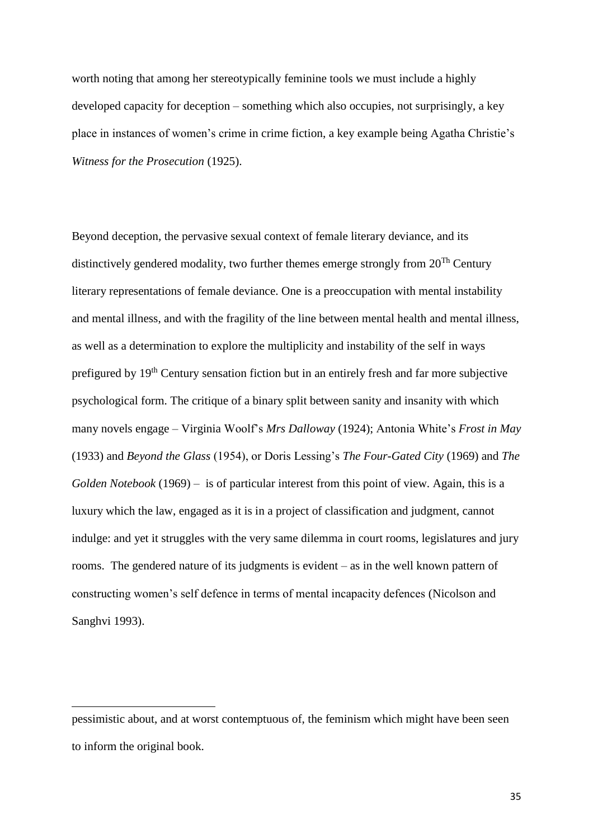worth noting that among her stereotypically feminine tools we must include a highly developed capacity for deception – something which also occupies, not surprisingly, a key place in instances of women's crime in crime fiction, a key example being Agatha Christie's *Witness for the Prosecution* (1925).

Beyond deception, the pervasive sexual context of female literary deviance, and its distinctively gendered modality, two further themes emerge strongly from 20Th Century literary representations of female deviance. One is a preoccupation with mental instability and mental illness, and with the fragility of the line between mental health and mental illness, as well as a determination to explore the multiplicity and instability of the self in ways prefigured by 19th Century sensation fiction but in an entirely fresh and far more subjective psychological form. The critique of a binary split between sanity and insanity with which many novels engage – Virginia Woolf's *Mrs Dalloway* (1924); Antonia White's *Frost in May* (1933) and *Beyond the Glass* (1954), or Doris Lessing's *The Four-Gated City* (1969) and *The Golden Notebook* (1969) – is of particular interest from this point of view. Again, this is a luxury which the law, engaged as it is in a project of classification and judgment, cannot indulge: and yet it struggles with the very same dilemma in court rooms, legislatures and jury rooms. The gendered nature of its judgments is evident – as in the well known pattern of constructing women's self defence in terms of mental incapacity defences (Nicolson and Sanghvi 1993).

pessimistic about, and at worst contemptuous of, the feminism which might have been seen to inform the original book.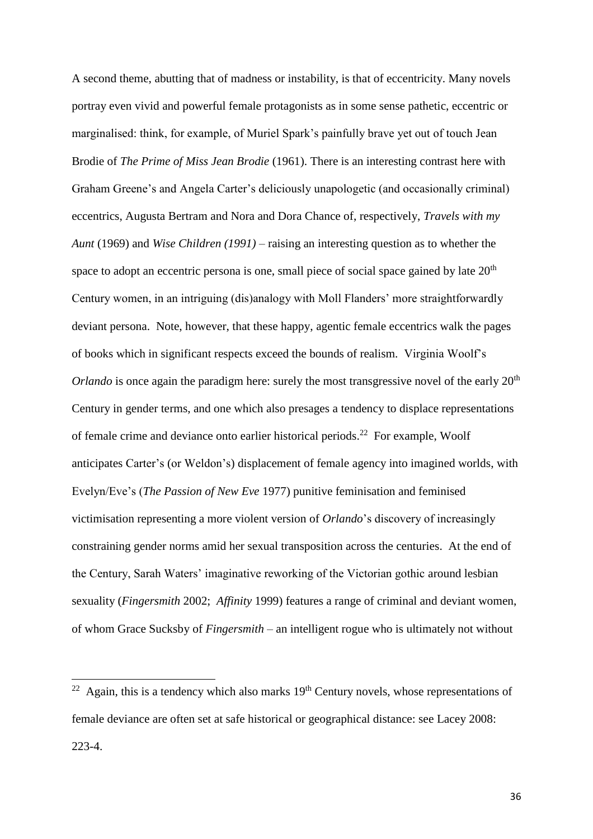A second theme, abutting that of madness or instability, is that of eccentricity. Many novels portray even vivid and powerful female protagonists as in some sense pathetic, eccentric or marginalised: think, for example, of Muriel Spark's painfully brave yet out of touch Jean Brodie of *The Prime of Miss Jean Brodie* (1961). There is an interesting contrast here with Graham Greene's and Angela Carter's deliciously unapologetic (and occasionally criminal) eccentrics, Augusta Bertram and Nora and Dora Chance of, respectively, *Travels with my Aunt* (1969) and *Wise Children (1991) –* raising an interesting question as to whether the space to adopt an eccentric persona is one, small piece of social space gained by late 20<sup>th</sup> Century women, in an intriguing (dis)analogy with Moll Flanders' more straightforwardly deviant persona. Note, however, that these happy, agentic female eccentrics walk the pages of books which in significant respects exceed the bounds of realism. Virginia Woolf's *Orlando* is once again the paradigm here: surely the most transgressive novel of the early  $20<sup>th</sup>$ Century in gender terms, and one which also presages a tendency to displace representations of female crime and deviance onto earlier historical periods.<sup>22</sup> For example, Woolf anticipates Carter's (or Weldon's) displacement of female agency into imagined worlds, with Evelyn/Eve's (*The Passion of New Eve* 1977) punitive feminisation and feminised victimisation representing a more violent version of *Orlando*'s discovery of increasingly constraining gender norms amid her sexual transposition across the centuries. At the end of the Century, Sarah Waters' imaginative reworking of the Victorian gothic around lesbian sexuality (*Fingersmith* 2002; *Affinity* 1999) features a range of criminal and deviant women, of whom Grace Sucksby of *Fingersmith* – an intelligent rogue who is ultimately not without

 $22$  Again, this is a tendency which also marks  $19<sup>th</sup>$  Century novels, whose representations of female deviance are often set at safe historical or geographical distance: see Lacey 2008: 223-4.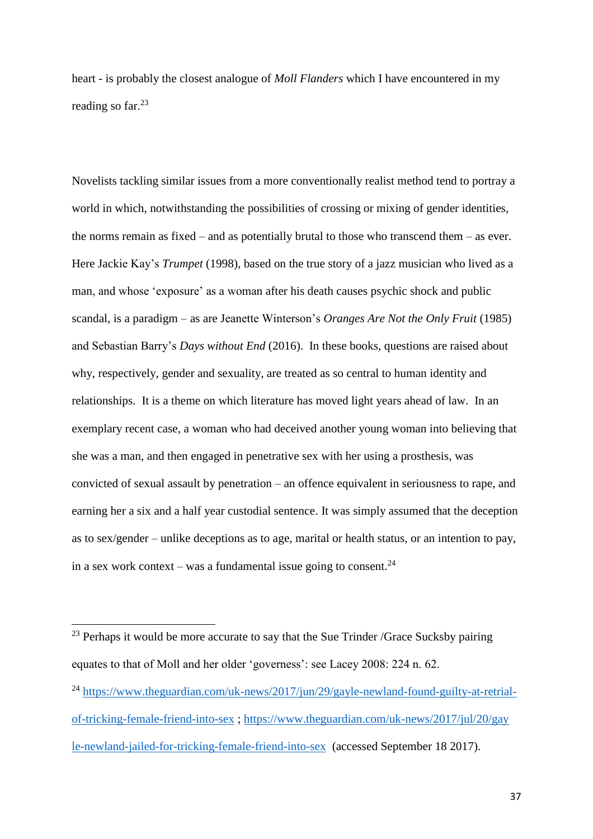heart - is probably the closest analogue of *Moll Flanders* which I have encountered in my reading so far.<sup>23</sup>

Novelists tackling similar issues from a more conventionally realist method tend to portray a world in which, notwithstanding the possibilities of crossing or mixing of gender identities, the norms remain as fixed – and as potentially brutal to those who transcend them – as ever. Here Jackie Kay's *Trumpet* (1998), based on the true story of a jazz musician who lived as a man, and whose 'exposure' as a woman after his death causes psychic shock and public scandal, is a paradigm – as are Jeanette Winterson's *Oranges Are Not the Only Fruit* (1985) and Sebastian Barry's *Days without End* (2016). In these books, questions are raised about why, respectively, gender and sexuality, are treated as so central to human identity and relationships. It is a theme on which literature has moved light years ahead of law. In an exemplary recent case, a woman who had deceived another young woman into believing that she was a man, and then engaged in penetrative sex with her using a prosthesis, was convicted of sexual assault by penetration – an offence equivalent in seriousness to rape, and earning her a six and a half year custodial sentence. It was simply assumed that the deception as to sex/gender – unlike deceptions as to age, marital or health status, or an intention to pay, in a sex work context – was a fundamental issue going to consent.<sup>24</sup>

 $23$  Perhaps it would be more accurate to say that the Sue Trinder /Grace Sucksby pairing equates to that of Moll and her older 'governess': see Lacey 2008: 224 n. 62.

<sup>&</sup>lt;sup>24</sup> [https://www.theguardian.com/uk-news/2017/jun/29/gayle-newland-found-guilty-at-retrial](https://www.theguardian.com/uk-news/2017/jun/29/gayle-newland-found-guilty-at-retrial-of-tricking-female-friend-into-sex)[of-tricking-female-friend-into-sex](https://www.theguardian.com/uk-news/2017/jun/29/gayle-newland-found-guilty-at-retrial-of-tricking-female-friend-into-sex) ; [https://www.theguardian.com/uk-news/2017/jul/20/gay](https://www.theguardian.com/uk-news/2017/jul/20/gayle-newland-jailed-for-tricking-female-friend-into-sex) [le-newland-jailed-for-tricking-female-friend-into-sex](https://www.theguardian.com/uk-news/2017/jul/20/gayle-newland-jailed-for-tricking-female-friend-into-sex) (accessed September 18 2017).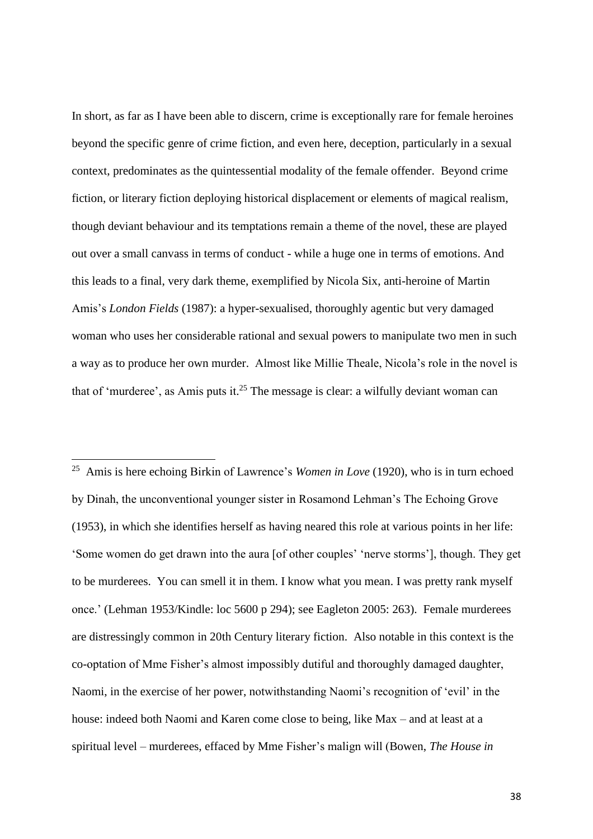In short, as far as I have been able to discern, crime is exceptionally rare for female heroines beyond the specific genre of crime fiction, and even here, deception, particularly in a sexual context, predominates as the quintessential modality of the female offender. Beyond crime fiction, or literary fiction deploying historical displacement or elements of magical realism, though deviant behaviour and its temptations remain a theme of the novel, these are played out over a small canvass in terms of conduct - while a huge one in terms of emotions. And this leads to a final, very dark theme, exemplified by Nicola Six, anti-heroine of Martin Amis's *London Fields* (1987): a hyper-sexualised, thoroughly agentic but very damaged woman who uses her considerable rational and sexual powers to manipulate two men in such a way as to produce her own murder. Almost like Millie Theale, Nicola's role in the novel is that of 'murderee', as Amis puts it.<sup>25</sup> The message is clear: a wilfully deviant woman can

25 Amis is here echoing Birkin of Lawrence's *Women in Love* (1920), who is in turn echoed by Dinah, the unconventional younger sister in Rosamond Lehman's The Echoing Grove (1953), in which she identifies herself as having neared this role at various points in her life: 'Some women do get drawn into the aura [of other couples' 'nerve storms'], though. They get to be murderees. You can smell it in them. I know what you mean. I was pretty rank myself once.' (Lehman 1953/Kindle: loc 5600 p 294); see Eagleton 2005: 263). Female murderees are distressingly common in 20th Century literary fiction. Also notable in this context is the co-optation of Mme Fisher's almost impossibly dutiful and thoroughly damaged daughter, Naomi, in the exercise of her power, notwithstanding Naomi's recognition of 'evil' in the house: indeed both Naomi and Karen come close to being, like Max – and at least at a spiritual level – murderees, effaced by Mme Fisher's malign will (Bowen, *The House in*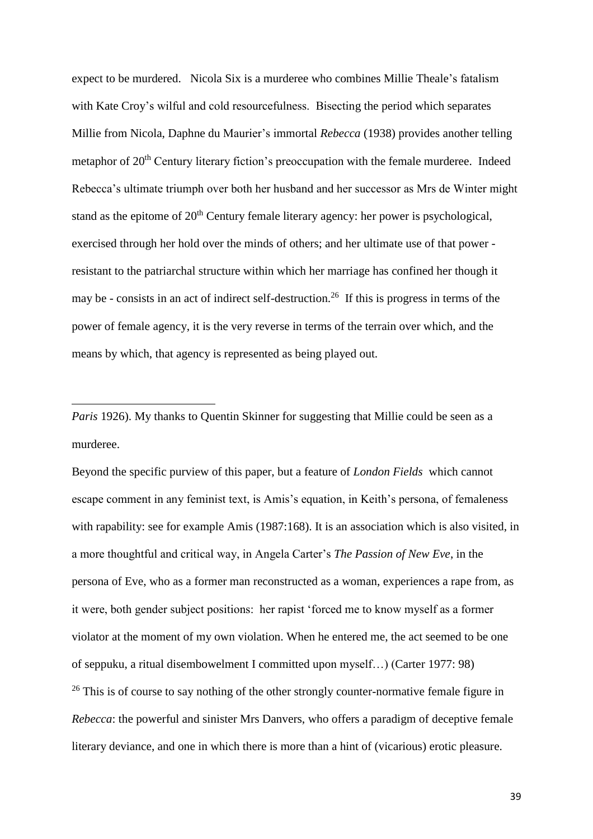expect to be murdered. Nicola Six is a murderee who combines Millie Theale's fatalism with Kate Croy's wilful and cold resourcefulness. Bisecting the period which separates Millie from Nicola, Daphne du Maurier's immortal *Rebecca* (1938) provides another telling metaphor of 20<sup>th</sup> Century literary fiction's preoccupation with the female murderee. Indeed Rebecca's ultimate triumph over both her husband and her successor as Mrs de Winter might stand as the epitome of  $20<sup>th</sup>$  Century female literary agency: her power is psychological, exercised through her hold over the minds of others; and her ultimate use of that power resistant to the patriarchal structure within which her marriage has confined her though it may be - consists in an act of indirect self-destruction.<sup>26</sup> If this is progress in terms of the power of female agency, it is the very reverse in terms of the terrain over which, and the means by which, that agency is represented as being played out.

*Paris* 1926). My thanks to Quentin Skinner for suggesting that Millie could be seen as a murderee.

 $\overline{a}$ 

Beyond the specific purview of this paper, but a feature of *London Fields* which cannot escape comment in any feminist text, is Amis's equation, in Keith's persona, of femaleness with rapability: see for example Amis (1987:168). It is an association which is also visited, in a more thoughtful and critical way, in Angela Carter's *The Passion of New Eve*, in the persona of Eve, who as a former man reconstructed as a woman, experiences a rape from, as it were, both gender subject positions: her rapist 'forced me to know myself as a former violator at the moment of my own violation. When he entered me, the act seemed to be one of seppuku, a ritual disembowelment I committed upon myself…) (Carter 1977: 98)  $26$  This is of course to say nothing of the other strongly counter-normative female figure in *Rebecca*: the powerful and sinister Mrs Danvers, who offers a paradigm of deceptive female literary deviance, and one in which there is more than a hint of (vicarious) erotic pleasure.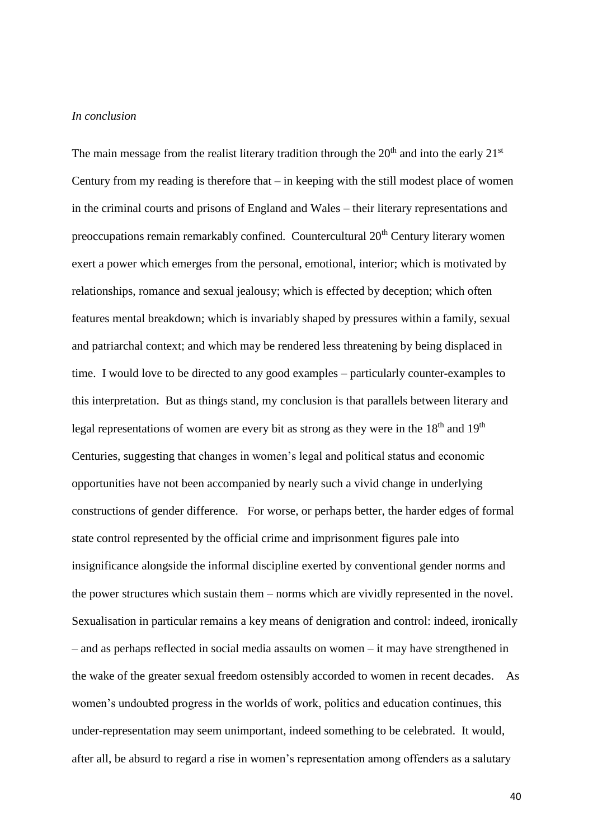#### *In conclusion*

The main message from the realist literary tradition through the  $20<sup>th</sup>$  and into the early  $21<sup>st</sup>$ Century from my reading is therefore that – in keeping with the still modest place of women in the criminal courts and prisons of England and Wales – their literary representations and preoccupations remain remarkably confined. Countercultural 20<sup>th</sup> Century literary women exert a power which emerges from the personal, emotional, interior; which is motivated by relationships, romance and sexual jealousy; which is effected by deception; which often features mental breakdown; which is invariably shaped by pressures within a family, sexual and patriarchal context; and which may be rendered less threatening by being displaced in time. I would love to be directed to any good examples – particularly counter-examples to this interpretation. But as things stand, my conclusion is that parallels between literary and legal representations of women are every bit as strong as they were in the  $18<sup>th</sup>$  and  $19<sup>th</sup>$ Centuries, suggesting that changes in women's legal and political status and economic opportunities have not been accompanied by nearly such a vivid change in underlying constructions of gender difference. For worse, or perhaps better, the harder edges of formal state control represented by the official crime and imprisonment figures pale into insignificance alongside the informal discipline exerted by conventional gender norms and the power structures which sustain them – norms which are vividly represented in the novel. Sexualisation in particular remains a key means of denigration and control: indeed, ironically – and as perhaps reflected in social media assaults on women – it may have strengthened in the wake of the greater sexual freedom ostensibly accorded to women in recent decades. As women's undoubted progress in the worlds of work, politics and education continues, this under-representation may seem unimportant, indeed something to be celebrated. It would, after all, be absurd to regard a rise in women's representation among offenders as a salutary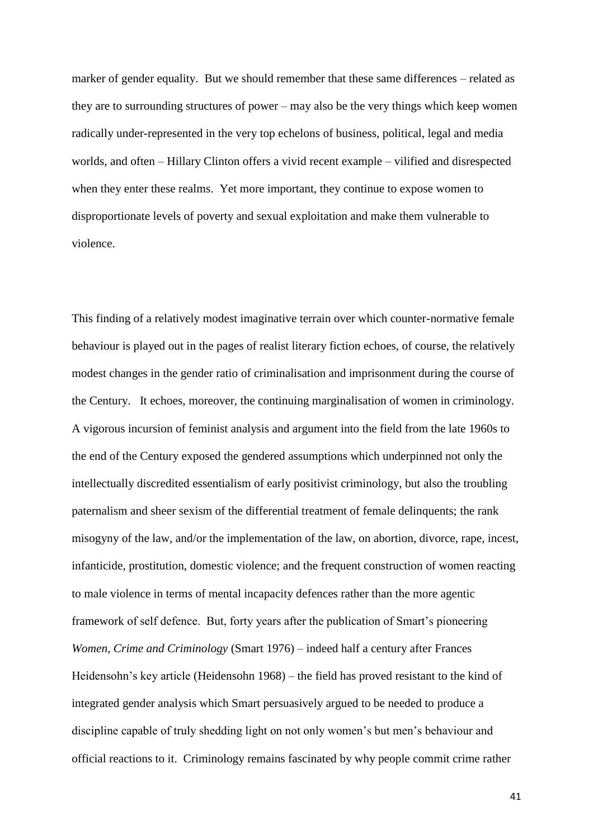marker of gender equality. But we should remember that these same differences – related as they are to surrounding structures of power – may also be the very things which keep women radically under-represented in the very top echelons of business, political, legal and media worlds, and often – Hillary Clinton offers a vivid recent example – vilified and disrespected when they enter these realms. Yet more important, they continue to expose women to disproportionate levels of poverty and sexual exploitation and make them vulnerable to violence.

This finding of a relatively modest imaginative terrain over which counter-normative female behaviour is played out in the pages of realist literary fiction echoes, of course, the relatively modest changes in the gender ratio of criminalisation and imprisonment during the course of the Century. It echoes, moreover, the continuing marginalisation of women in criminology. A vigorous incursion of feminist analysis and argument into the field from the late 1960s to the end of the Century exposed the gendered assumptions which underpinned not only the intellectually discredited essentialism of early positivist criminology, but also the troubling paternalism and sheer sexism of the differential treatment of female delinquents; the rank misogyny of the law, and/or the implementation of the law, on abortion, divorce, rape, incest, infanticide, prostitution, domestic violence; and the frequent construction of women reacting to male violence in terms of mental incapacity defences rather than the more agentic framework of self defence. But, forty years after the publication of Smart's pioneering *Women, Crime and Criminology* (Smart 1976) – indeed half a century after Frances Heidensohn's key article (Heidensohn 1968) – the field has proved resistant to the kind of integrated gender analysis which Smart persuasively argued to be needed to produce a discipline capable of truly shedding light on not only women's but men's behaviour and official reactions to it. Criminology remains fascinated by why people commit crime rather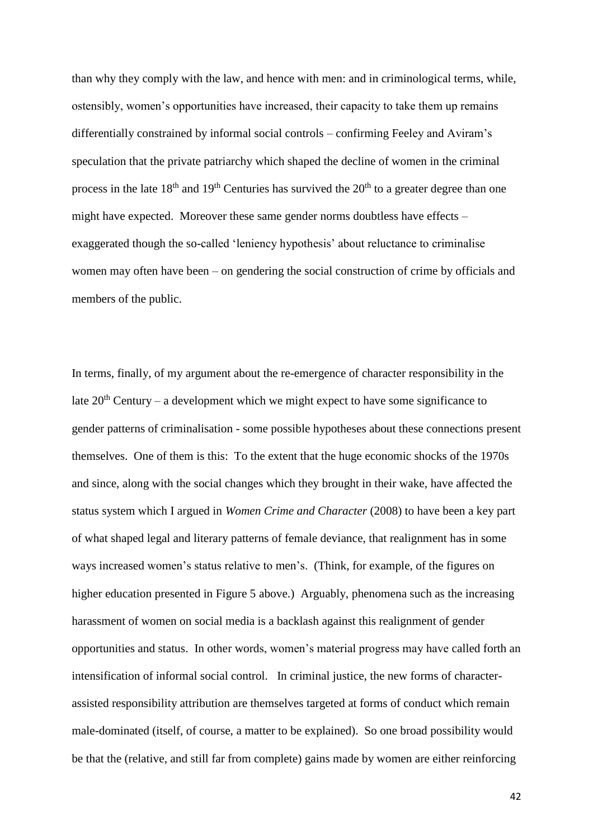than why they comply with the law, and hence with men: and in criminological terms, while, ostensibly, women's opportunities have increased, their capacity to take them up remains differentially constrained by informal social controls – confirming Feeley and Aviram's speculation that the private patriarchy which shaped the decline of women in the criminal process in the late  $18<sup>th</sup>$  and  $19<sup>th</sup>$  Centuries has survived the  $20<sup>th</sup>$  to a greater degree than one might have expected. Moreover these same gender norms doubtless have effects – exaggerated though the so-called 'leniency hypothesis' about reluctance to criminalise women may often have been – on gendering the social construction of crime by officials and members of the public.

In terms, finally, of my argument about the re-emergence of character responsibility in the late  $20<sup>th</sup>$  Century – a development which we might expect to have some significance to gender patterns of criminalisation - some possible hypotheses about these connections present themselves. One of them is this: To the extent that the huge economic shocks of the 1970s and since, along with the social changes which they brought in their wake, have affected the status system which I argued in *Women Crime and Character* (2008) to have been a key part of what shaped legal and literary patterns of female deviance, that realignment has in some ways increased women's status relative to men's. (Think, for example, of the figures on higher education presented in Figure 5 above.) Arguably, phenomena such as the increasing harassment of women on social media is a backlash against this realignment of gender opportunities and status. In other words, women's material progress may have called forth an intensification of informal social control. In criminal justice, the new forms of characterassisted responsibility attribution are themselves targeted at forms of conduct which remain male-dominated (itself, of course, a matter to be explained). So one broad possibility would be that the (relative, and still far from complete) gains made by women are either reinforcing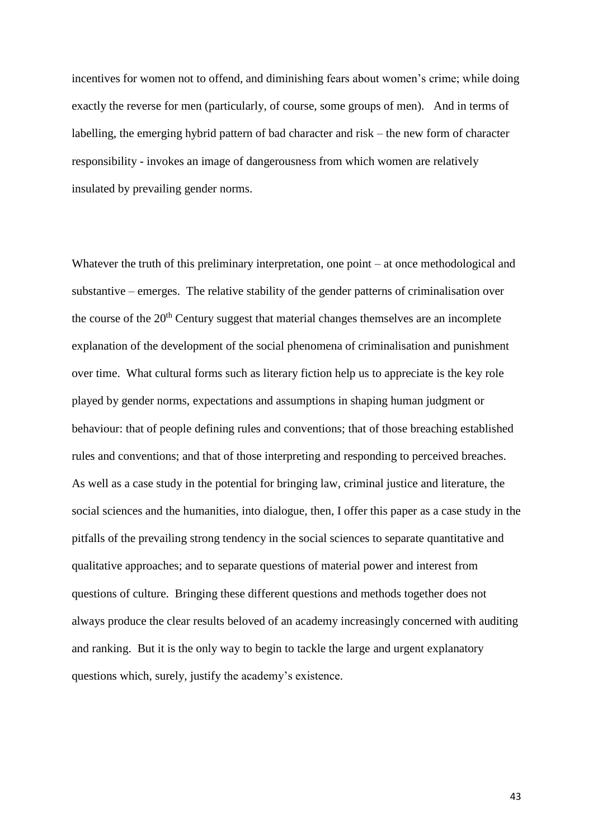incentives for women not to offend, and diminishing fears about women's crime; while doing exactly the reverse for men (particularly, of course, some groups of men). And in terms of labelling, the emerging hybrid pattern of bad character and risk – the new form of character responsibility - invokes an image of dangerousness from which women are relatively insulated by prevailing gender norms.

Whatever the truth of this preliminary interpretation, one point – at once methodological and substantive – emerges. The relative stability of the gender patterns of criminalisation over the course of the  $20<sup>th</sup>$  Century suggest that material changes themselves are an incomplete explanation of the development of the social phenomena of criminalisation and punishment over time. What cultural forms such as literary fiction help us to appreciate is the key role played by gender norms, expectations and assumptions in shaping human judgment or behaviour: that of people defining rules and conventions; that of those breaching established rules and conventions; and that of those interpreting and responding to perceived breaches. As well as a case study in the potential for bringing law, criminal justice and literature, the social sciences and the humanities, into dialogue, then, I offer this paper as a case study in the pitfalls of the prevailing strong tendency in the social sciences to separate quantitative and qualitative approaches; and to separate questions of material power and interest from questions of culture. Bringing these different questions and methods together does not always produce the clear results beloved of an academy increasingly concerned with auditing and ranking. But it is the only way to begin to tackle the large and urgent explanatory questions which, surely, justify the academy's existence.